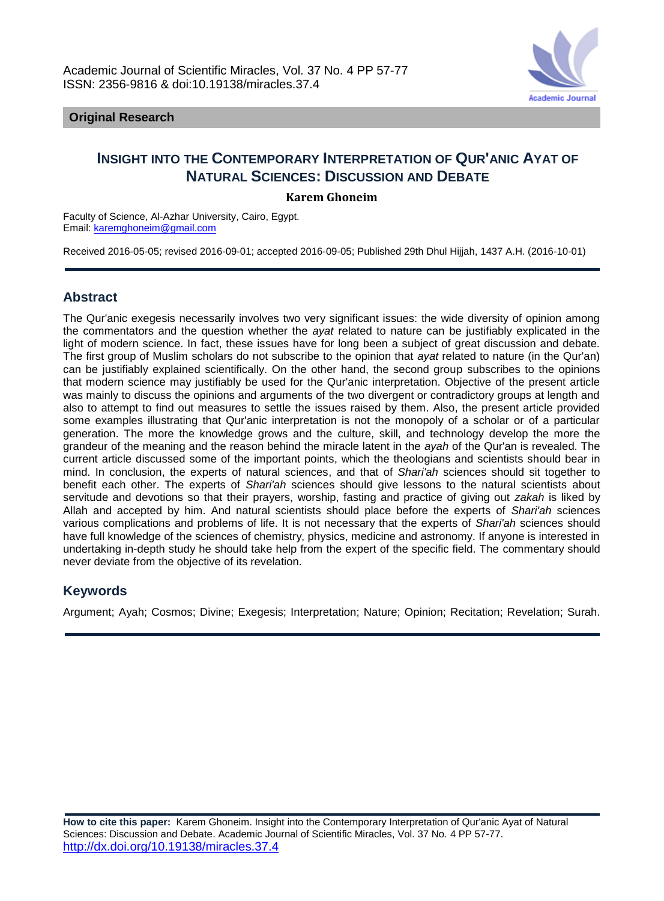

## **Original Research**

# **INSIGHT INTO THE CONTEMPORARY INTERPRETATION OF QUR'ANIC AYAT OF NATURAL SCIENCES: DISCUSSION AND DEBATE**

## **Karem Ghoneim**

Faculty of Science, Al-Azhar University, Cairo, Egypt. Email: [karemghoneim@gmail.com](mailto:karemghoneim@gmail.com)

Received 2016-05-05; revised 2016-09-01; accepted 2016-09-05; Published 29th Dhul Hijjah, 1437 A.H. (2016-10-01)

## **Abstract**

The Qur'anic exegesis necessarily involves two very significant issues: the wide diversity of opinion among the commentators and the question whether the *ayat* related to nature can be justifiably explicated in the light of modern science. In fact, these issues have for long been a subject of great discussion and debate. The first group of Muslim scholars do not subscribe to the opinion that *ayat* related to nature (in the Qur'an) can be justifiably explained scientifically. On the other hand, the second group subscribes to the opinions that modern science may justifiably be used for the Qur'anic interpretation. Objective of the present article was mainly to discuss the opinions and arguments of the two divergent or contradictory groups at length and also to attempt to find out measures to settle the issues raised by them. Also, the present article provided some examples illustrating that Qur'anic interpretation is not the monopoly of a scholar or of a particular generation. The more the knowledge grows and the culture, skill, and technology develop the more the grandeur of the meaning and the reason behind the miracle latent in the *ayah* of the Qur'an is revealed. The current article discussed some of the important points, which the theologians and scientists should bear in mind. In conclusion, the experts of natural sciences, and that of *Shari'ah* sciences should sit together to benefit each other. The experts of *Shari'ah* sciences should give lessons to the natural scientists about servitude and devotions so that their prayers, worship, fasting and practice of giving out *zakah* is liked by Allah and accepted by him. And natural scientists should place before the experts of *Shari'ah* sciences various complications and problems of life. It is not necessary that the experts of *Shari'ah* sciences should have full knowledge of the sciences of chemistry, physics, medicine and astronomy. If anyone is interested in undertaking in-depth study he should take help from the expert of the specific field. The commentary should never deviate from the objective of its revelation.

## **Keywords**

Argument; Ayah; Cosmos; Divine; Exegesis; Interpretation; Nature; Opinion; Recitation; Revelation; Surah.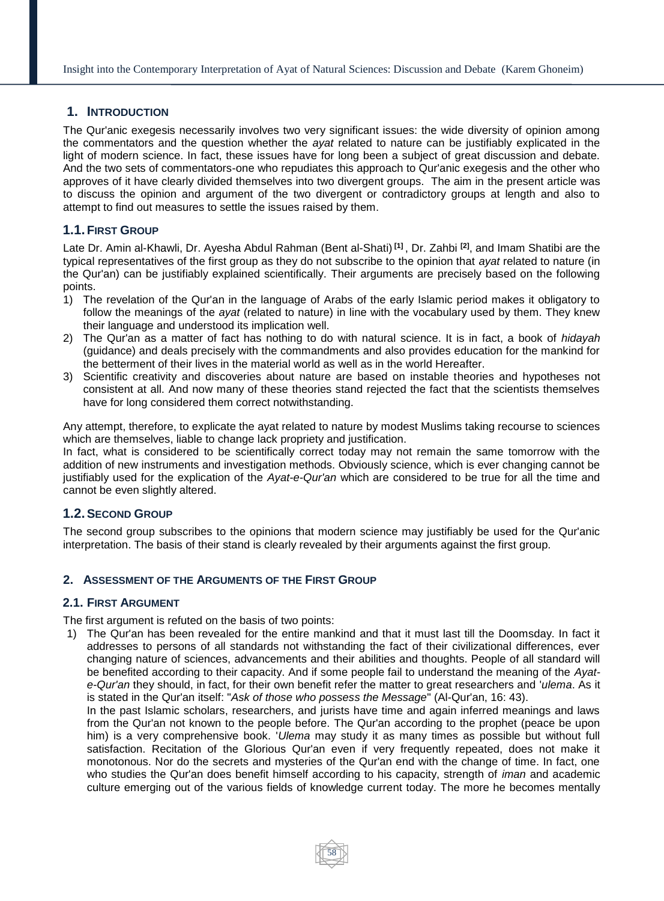## **1. INTRODUCTION**

The Qur'anic exegesis necessarily involves two very significant issues: the wide diversity of opinion among the commentators and the question whether the *ayat* related to nature can be justifiably explicated in the light of modern science. In fact, these issues have for long been a subject of great discussion and debate. And the two sets of commentators-one who repudiates this approach to Qur'anic exegesis and the other who approves of it have clearly divided themselves into two divergent groups. The aim in the present article was to discuss the opinion and argument of the two divergent or contradictory groups at length and also to attempt to find out measures to settle the issues raised by them.

## **1.1.FIRST GROUP**

Late Dr. Amin al-Khawli, Dr. Ayesha Abdul Rahman (Bent al-Shati) **[1]** , Dr. Zahbi **[2]**, and Imam Shatibi are the typical representatives of the first group as they do not subscribe to the opinion that *ayat* related to nature (in the Qur'an) can be justifiably explained scientifically. Their arguments are precisely based on the following points.

- 1) The revelation of the Qur'an in the language of Arabs of the early Islamic period makes it obligatory to follow the meanings of the *ayat* (related to nature) in line with the vocabulary used by them. They knew their language and understood its implication well.
- 2) The Qur'an as a matter of fact has nothing to do with natural science. It is in fact, a book of *hidayah* (guidance) and deals precisely with the commandments and also provides education for the mankind for the betterment of their lives in the material world as well as in the world Hereafter.
- 3) Scientific creativity and discoveries about nature are based on instable theories and hypotheses not consistent at all. And now many of these theories stand rejected the fact that the scientists themselves have for long considered them correct notwithstanding.

Any attempt, therefore, to explicate the ayat related to nature by modest Muslims taking recourse to sciences which are themselves, liable to change lack propriety and justification.

In fact, what is considered to be scientifically correct today may not remain the same tomorrow with the addition of new instruments and investigation methods. Obviously science, which is ever changing cannot be justifiably used for the explication of the *Ayat-e-Qur'an* which are considered to be true for all the time and cannot be even slightly altered.

## **1.2.SECOND GROUP**

The second group subscribes to the opinions that modern science may justifiably be used for the Qur'anic interpretation. The basis of their stand is clearly revealed by their arguments against the first group.

## **2. ASSESSMENT OF THE ARGUMENTS OF THE FIRST GROUP**

## **2.1. FIRST ARGUMENT**

The first argument is refuted on the basis of two points:

1) The Qur'an has been revealed for the entire mankind and that it must last till the Doomsday. In fact it addresses to persons of all standards not withstanding the fact of their civilizational differences, ever changing nature of sciences, advancements and their abilities and thoughts. People of all standard will be benefited according to their capacity. And if some people fail to understand the meaning of the *Ayate-Qur'an* they should, in fact, for their own benefit refer the matter to great researchers and '*ulema*. As it is stated in the Qur'an itself: "*Ask of those who possess the Message*" (Al-Qur'an, 16: 43).

In the past Islamic scholars, researchers, and jurists have time and again inferred meanings and laws from the Qur'an not known to the people before. The Qur'an according to the prophet (peace be upon him) is a very comprehensive book. '*Ulema* may study it as many times as possible but without full satisfaction. Recitation of the Glorious Qur'an even if very frequently repeated, does not make it monotonous. Nor do the secrets and mysteries of the Qur'an end with the change of time. In fact, one who studies the Qur'an does benefit himself according to his capacity, strength of *iman* and academic culture emerging out of the various fields of knowledge current today. The more he becomes mentally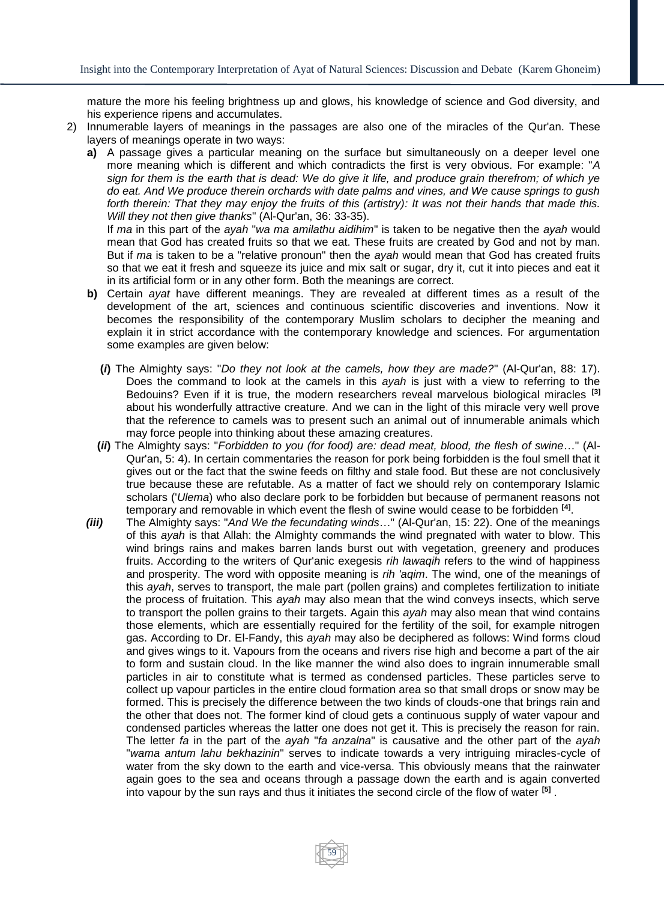mature the more his feeling brightness up and glows, his knowledge of science and God diversity, and his experience ripens and accumulates.

- 2) Innumerable layers of meanings in the passages are also one of the miracles of the Qur'an. These layers of meanings operate in two ways:
	- **a)** A passage gives a particular meaning on the surface but simultaneously on a deeper level one more meaning which is different and which contradicts the first is very obvious. For example: "*A sign for them is the earth that is dead: We do give it life, and produce grain therefrom; of which ye do eat. And We produce therein orchards with date palms and vines, and We cause springs to gush forth therein: That they may enjoy the fruits of this (artistry): It was not their hands that made this. Will they not then give thanks*" (Al-Qur'an, 36: 33-35).

If *ma* in this part of the *ayah* "*wa ma amilathu aidihim*" is taken to be negative then the *ayah* would mean that God has created fruits so that we eat. These fruits are created by God and not by man. But if *ma* is taken to be a "relative pronoun" then the *ayah* would mean that God has created fruits so that we eat it fresh and squeeze its juice and mix salt or sugar, dry it, cut it into pieces and eat it in its artificial form or in any other form. Both the meanings are correct.

- **b)** Certain *ayat* have different meanings. They are revealed at different times as a result of the development of the art, sciences and continuous scientific discoveries and inventions. Now it becomes the responsibility of the contemporary Muslim scholars to decipher the meaning and explain it in strict accordance with the contemporary knowledge and sciences. For argumentation some examples are given below:
	- **(***i***)** The Almighty says: "*Do they not look at the camels, how they are made?*" (Al-Qur'an, 88: 17). Does the command to look at the camels in this *ayah* is just with a view to referring to the Bedouins? Even if it is true, the modern researchers reveal marvelous biological miracles **[3]** about his wonderfully attractive creature. And we can in the light of this miracle very well prove that the reference to camels was to present such an animal out of innumerable animals which may force people into thinking about these amazing creatures.
	- **(***ii***)** The Almighty says: "*Forbidden to you (for food) are: dead meat, blood, the flesh of swine*…" (Al-Qur'an, 5: 4). In certain commentaries the reason for pork being forbidden is the foul smell that it gives out or the fact that the swine feeds on filthy and stale food. But these are not conclusively true because these are refutable. As a matter of fact we should rely on contemporary Islamic scholars ('*Ulema*) who also declare pork to be forbidden but because of permanent reasons not temporary and removable in which event the flesh of swine would cease to be forbidden **[4]** .
- *(iii)* The Almighty says: "*And We the fecundating winds*…" (Al-Qur'an, 15: 22). One of the meanings of this *ayah* is that Allah: the Almighty commands the wind pregnated with water to blow. This wind brings rains and makes barren lands burst out with vegetation, greenery and produces fruits. According to the writers of Qur'anic exegesis *rih lawaqih* refers to the wind of happiness and prosperity. The word with opposite meaning is *rih 'aqim*. The wind, one of the meanings of this *ayah*, serves to transport, the male part (pollen grains) and completes fertilization to initiate the process of fruitation. This *ayah* may also mean that the wind conveys insects, which serve to transport the pollen grains to their targets. Again this *ayah* may also mean that wind contains those elements, which are essentially required for the fertility of the soil, for example nitrogen gas. According to Dr. El-Fandy, this *ayah* may also be deciphered as follows: Wind forms cloud and gives wings to it. Vapours from the oceans and rivers rise high and become a part of the air to form and sustain cloud. In the like manner the wind also does to ingrain innumerable small particles in air to constitute what is termed as condensed particles. These particles serve to collect up vapour particles in the entire cloud formation area so that small drops or snow may be formed. This is precisely the difference between the two kinds of clouds-one that brings rain and the other that does not. The former kind of cloud gets a continuous supply of water vapour and condensed particles whereas the latter one does not get it. This is precisely the reason for rain. The letter *fa* in the part of the *ayah* "*fa anzalna*" is causative and the other part of the *ayah* "*wama antum lahu bekhazinin*" serves to indicate towards a very intriguing miracles-cycle of water from the sky down to the earth and vice-versa. This obviously means that the rainwater again goes to the sea and oceans through a passage down the earth and is again converted into vapour by the sun rays and thus it initiates the second circle of the flow of water **[5]** .

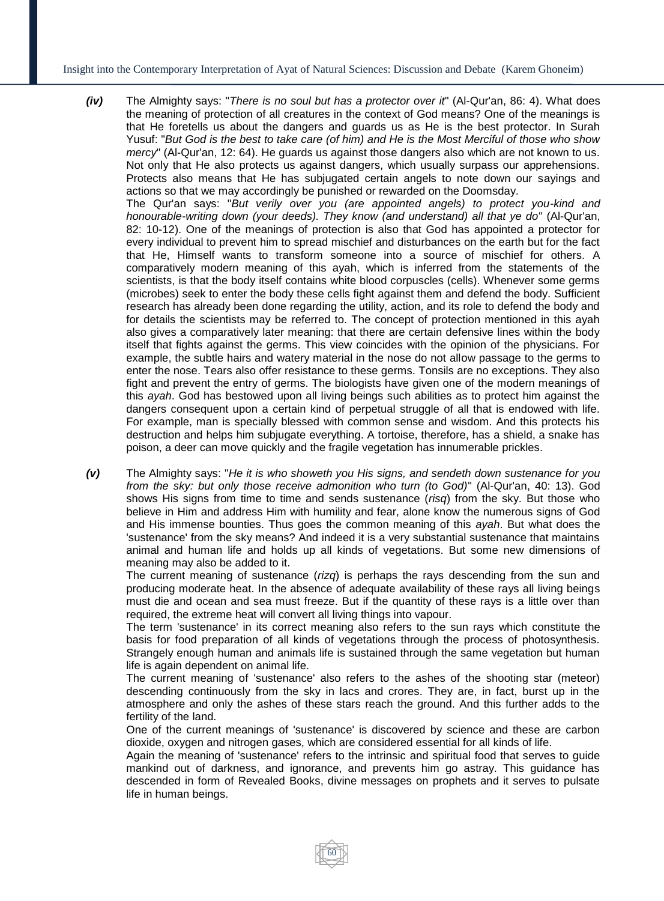Insight into the Contemporary Interpretation of Ayat of Natural Sciences: Discussion and Debate (Karem Ghoneim)

- *(iv)* The Almighty says: "*There is no soul but has a protector over it*" (Al-Qur'an, 86: 4). What does the meaning of protection of all creatures in the context of God means? One of the meanings is that He foretells us about the dangers and guards us as He is the best protector. In Surah Yusuf: "*But God is the best to take care (of him) and He is the Most Merciful of those who show mercy*" (Al-Qur'an, 12: 64). He guards us against those dangers also which are not known to us. Not only that He also protects us against dangers, which usually surpass our apprehensions. Protects also means that He has subjugated certain angels to note down our sayings and actions so that we may accordingly be punished or rewarded on the Doomsday. The Qur'an says: "*But verily over you (are appointed angels) to protect you-kind and honourable-writing down (your deeds). They know (and understand) all that ye do*" (Al-Qur'an, 82: 10-12). One of the meanings of protection is also that God has appointed a protector for every individual to prevent him to spread mischief and disturbances on the earth but for the fact that He, Himself wants to transform someone into a source of mischief for others. A comparatively modern meaning of this ayah, which is inferred from the statements of the scientists, is that the body itself contains white blood corpuscles (cells). Whenever some germs (microbes) seek to enter the body these cells fight against them and defend the body. Sufficient research has already been done regarding the utility, action, and its role to defend the body and for details the scientists may be referred to. The concept of protection mentioned in this ayah also gives a comparatively later meaning: that there are certain defensive lines within the body itself that fights against the germs. This view coincides with the opinion of the physicians. For example, the subtle hairs and watery material in the nose do not allow passage to the germs to enter the nose. Tears also offer resistance to these germs. Tonsils are no exceptions. They also fight and prevent the entry of germs. The biologists have given one of the modern meanings of this *ayah*. God has bestowed upon all living beings such abilities as to protect him against the dangers consequent upon a certain kind of perpetual struggle of all that is endowed with life. For example, man is specially blessed with common sense and wisdom. And this protects his destruction and helps him subjugate everything. A tortoise, therefore, has a shield, a snake has poison, a deer can move quickly and the fragile vegetation has innumerable prickles.
- *(v)* The Almighty says: "*He it is who showeth you His signs, and sendeth down sustenance for you from the sky: but only those receive admonition who turn (to God)*" (Al-Qur'an, 40: 13). God shows His signs from time to time and sends sustenance (*risq*) from the sky. But those who believe in Him and address Him with humility and fear, alone know the numerous signs of God and His immense bounties. Thus goes the common meaning of this *ayah*. But what does the 'sustenance' from the sky means? And indeed it is a very substantial sustenance that maintains animal and human life and holds up all kinds of vegetations. But some new dimensions of meaning may also be added to it.

The current meaning of sustenance (*rizq*) is perhaps the rays descending from the sun and producing moderate heat. In the absence of adequate availability of these rays all living beings must die and ocean and sea must freeze. But if the quantity of these rays is a little over than required, the extreme heat will convert all living things into vapour.

The term 'sustenance' in its correct meaning also refers to the sun rays which constitute the basis for food preparation of all kinds of vegetations through the process of photosynthesis. Strangely enough human and animals life is sustained through the same vegetation but human life is again dependent on animal life.

The current meaning of 'sustenance' also refers to the ashes of the shooting star (meteor) descending continuously from the sky in lacs and crores. They are, in fact, burst up in the atmosphere and only the ashes of these stars reach the ground. And this further adds to the fertility of the land.

One of the current meanings of 'sustenance' is discovered by science and these are carbon dioxide, oxygen and nitrogen gases, which are considered essential for all kinds of life.

Again the meaning of 'sustenance' refers to the intrinsic and spiritual food that serves to guide mankind out of darkness, and ignorance, and prevents him go astray. This guidance has descended in form of Revealed Books, divine messages on prophets and it serves to pulsate life in human beings.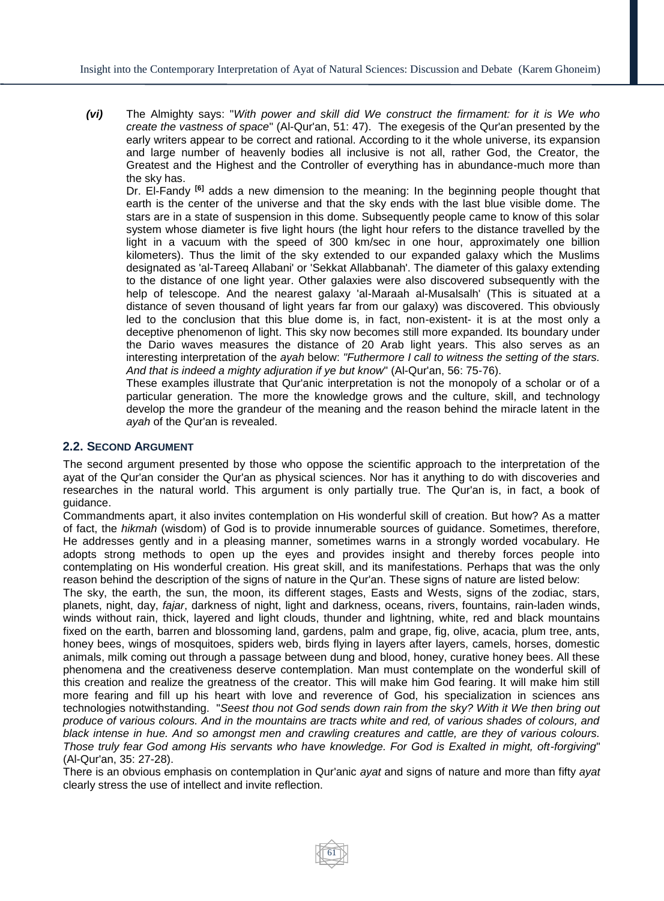*(vi)* The Almighty says: "*With power and skill did We construct the firmament: for it is We who create the vastness of space*" (Al-Qur'an, 51: 47). The exegesis of the Qur'an presented by the early writers appear to be correct and rational. According to it the whole universe, its expansion and large number of heavenly bodies all inclusive is not all, rather God, the Creator, the Greatest and the Highest and the Controller of everything has in abundance-much more than the sky has.

Dr. El-Fandy **[6]** adds a new dimension to the meaning: In the beginning people thought that earth is the center of the universe and that the sky ends with the last blue visible dome. The stars are in a state of suspension in this dome. Subsequently people came to know of this solar system whose diameter is five light hours (the light hour refers to the distance travelled by the light in a vacuum with the speed of 300 km/sec in one hour, approximately one billion kilometers). Thus the limit of the sky extended to our expanded galaxy which the Muslims designated as 'al-Tareeq Allabani' or 'Sekkat Allabbanah'. The diameter of this galaxy extending to the distance of one light year. Other galaxies were also discovered subsequently with the help of telescope. And the nearest galaxy 'al-Maraah al-Musalsalh' (This is situated at a distance of seven thousand of light years far from our galaxy) was discovered. This obviously led to the conclusion that this blue dome is, in fact, non-existent- it is at the most only a deceptive phenomenon of light. This sky now becomes still more expanded. Its boundary under the Dario waves measures the distance of 20 Arab light years. This also serves as an interesting interpretation of the *ayah* below: *"Futhermore I call to witness the setting of the stars. And that is indeed a mighty adjuration if ye but know*" (Al-Qur'an, 56: 75-76).

These examples illustrate that Qur'anic interpretation is not the monopoly of a scholar or of a particular generation. The more the knowledge grows and the culture, skill, and technology develop the more the grandeur of the meaning and the reason behind the miracle latent in the *ayah* of the Qur'an is revealed.

## **2.2. SECOND ARGUMENT**

The second argument presented by those who oppose the scientific approach to the interpretation of the ayat of the Qur'an consider the Qur'an as physical sciences. Nor has it anything to do with discoveries and researches in the natural world. This argument is only partially true. The Qur'an is, in fact, a book of guidance.

Commandments apart, it also invites contemplation on His wonderful skill of creation. But how? As a matter of fact, the *hikmah* (wisdom) of God is to provide innumerable sources of guidance. Sometimes, therefore, He addresses gently and in a pleasing manner, sometimes warns in a strongly worded vocabulary. He adopts strong methods to open up the eyes and provides insight and thereby forces people into contemplating on His wonderful creation. His great skill, and its manifestations. Perhaps that was the only reason behind the description of the signs of nature in the Qur'an. These signs of nature are listed below:

The sky, the earth, the sun, the moon, its different stages, Easts and Wests, signs of the zodiac, stars, planets, night, day, *fajar*, darkness of night, light and darkness, oceans, rivers, fountains, rain-laden winds, winds without rain, thick, layered and light clouds, thunder and lightning, white, red and black mountains fixed on the earth, barren and blossoming land, gardens, palm and grape, fig, olive, acacia, plum tree, ants, honey bees, wings of mosquitoes, spiders web, birds flying in layers after layers, camels, horses, domestic animals, milk coming out through a passage between dung and blood, honey, curative honey bees. All these phenomena and the creativeness deserve contemplation. Man must contemplate on the wonderful skill of this creation and realize the greatness of the creator. This will make him God fearing. It will make him still more fearing and fill up his heart with love and reverence of God, his specialization in sciences ans technologies notwithstanding. "*Seest thou not God sends down rain from the sky? With it We then bring out produce of various colours. And in the mountains are tracts white and red, of various shades of colours, and black intense in hue. And so amongst men and crawling creatures and cattle, are they of various colours. Those truly fear God among His servants who have knowledge. For God is Exalted in might, oft-forgiving*" (Al-Qur'an, 35: 27-28).

There is an obvious emphasis on contemplation in Qur'anic *ayat* and signs of nature and more than fifty *ayat* clearly stress the use of intellect and invite reflection.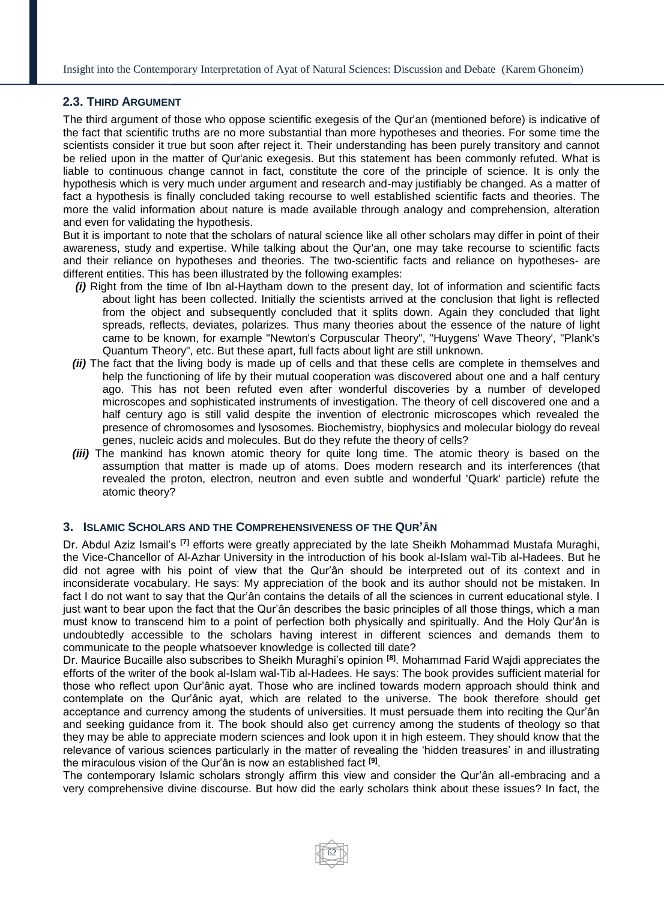## **2.3. THIRD ARGUMENT**

The third argument of those who oppose scientific exegesis of the Qur'an (mentioned before) is indicative of the fact that scientific truths are no more substantial than more hypotheses and theories. For some time the scientists consider it true but soon after reject it. Their understanding has been purely transitory and cannot be relied upon in the matter of Qur'anic exegesis. But this statement has been commonly refuted. What is liable to continuous change cannot in fact, constitute the core of the principle of science. It is only the hypothesis which is very much under argument and research and-may justifiably be changed. As a matter of fact a hypothesis is finally concluded taking recourse to well established scientific facts and theories. The more the valid information about nature is made available through analogy and comprehension, alteration and even for validating the hypothesis.

But it is important to note that the scholars of natural science like all other scholars may differ in point of their awareness, study and expertise. While talking about the Qur'an, one may take recourse to scientific facts and their reliance on hypotheses and theories. The two-scientific facts and reliance on hypotheses- are different entities. This has been illustrated by the following examples:

- *(i)* Right from the time of Ibn al-Haytham down to the present day, lot of information and scientific facts about light has been collected. Initially the scientists arrived at the conclusion that light is reflected from the object and subsequently concluded that it splits down. Again they concluded that light spreads, reflects, deviates, polarizes. Thus many theories about the essence of the nature of light came to be known, for example "Newton's Corpuscular Theory", "Huygens' Wave Theory', "Plank's Quantum Theory", etc. But these apart, full facts about light are still unknown.
- *(ii)* The fact that the living body is made up of cells and that these cells are complete in themselves and help the functioning of life by their mutual cooperation was discovered about one and a half century ago. This has not been refuted even after wonderful discoveries by a number of developed microscopes and sophisticated instruments of investigation. The theory of cell discovered one and a half century ago is still valid despite the invention of electronic microscopes which revealed the presence of chromosomes and lysosomes. Biochemistry, biophysics and molecular biology do reveal genes, nucleic acids and molecules. But do they refute the theory of cells?
- *(iii)* The mankind has known atomic theory for quite long time. The atomic theory is based on the assumption that matter is made up of atoms. Does modern research and its interferences (that revealed the proton, electron, neutron and even subtle and wonderful 'Quark' particle) refute the atomic theory?

## **3. ISLAMIC SCHOLARS AND THE COMPREHENSIVENESS OF THE QUR'ÂN**

Dr. Abdul Aziz Ismail's **[7]** efforts were greatly appreciated by the late Sheikh Mohammad Mustafa Muraghi, the Vice-Chancellor of Al-Azhar University in the introduction of his book al-Islam wal-Tib al-Hadees. But he did not agree with his point of view that the Qur'ân should be interpreted out of its context and in inconsiderate vocabulary. He says: My appreciation of the book and its author should not be mistaken. In fact I do not want to say that the Qur'ân contains the details of all the sciences in current educational style. I just want to bear upon the fact that the Qur'ân describes the basic principles of all those things, which a man must know to transcend him to a point of perfection both physically and spiritually. And the Holy Qur'ân is undoubtedly accessible to the scholars having interest in different sciences and demands them to communicate to the people whatsoever knowledge is collected till date?

Dr. Maurice Bucaille also subscribes to Sheikh Muraghi's opinion **[8]**. Mohammad Farid Wajdi appreciates the efforts of the writer of the book al-Islam wal-Tib al-Hadees. He says: The book provides sufficient material for those who reflect upon Qur'ânic ayat. Those who are inclined towards modern approach should think and contemplate on the Qur'ânic ayat, which are related to the universe. The book therefore should get acceptance and currency among the students of universities. It must persuade them into reciting the Qur'ân and seeking guidance from it. The book should also get currency among the students of theology so that they may be able to appreciate modern sciences and look upon it in high esteem. They should know that the relevance of various sciences particularly in the matter of revealing the 'hidden treasures' in and illustrating the miraculous vision of the Qur'ân is now an established fact **[9]** .

The contemporary Islamic scholars strongly affirm this view and consider the Qur'ân all-embracing and a very comprehensive divine discourse. But how did the early scholars think about these issues? In fact, the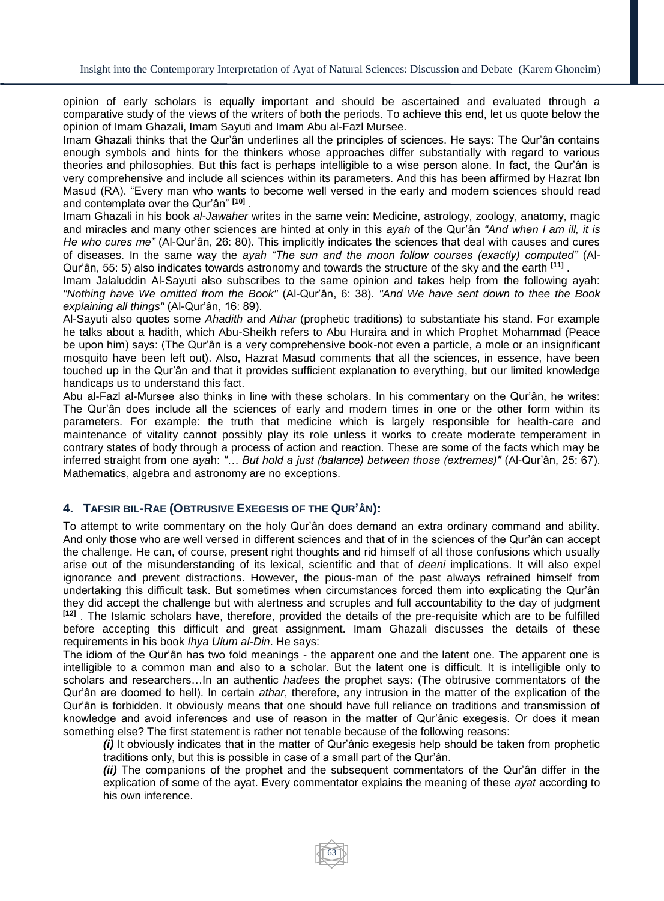opinion of early scholars is equally important and should be ascertained and evaluated through a comparative study of the views of the writers of both the periods. To achieve this end, let us quote below the opinion of Imam Ghazali, Imam Sayuti and Imam Abu al-Fazl Mursee.

Imam Ghazali thinks that the Qur'ân underlines all the principles of sciences. He says: The Qur'ân contains enough symbols and hints for the thinkers whose approaches differ substantially with regard to various theories and philosophies. But this fact is perhaps intelligible to a wise person alone. In fact, the Qur'ân is very comprehensive and include all sciences within its parameters. And this has been affirmed by Hazrat Ibn Masud (RA). "Every man who wants to become well versed in the early and modern sciences should read and contemplate over the Qur'ân" **[10]** .

Imam Ghazali in his book *al-Jawaher* writes in the same vein: Medicine, astrology, zoology, anatomy, magic and miracles and many other sciences are hinted at only in this *ayah* of the Qur'ân *"And when I am ill, it is He who cures me"* (Al-Qur'ân, 26: 80). This implicitly indicates the sciences that deal with causes and cures of diseases. In the same way the *ayah "The sun and the moon follow courses (exactly) computed"* (Al-Qur'ân, 55: 5) also indicates towards astronomy and towards the structure of the sky and the earth **[11]** .

Imam Jalaluddin Al-Sayuti also subscribes to the same opinion and takes help from the following ayah: *"Nothing have We omitted from the Book"* (Al-Qur'ân, 6: 38). *"And We have sent down to thee the Book explaining all things"* (Al-Qur'ân, 16: 89).

Al-Sayuti also quotes some *Ahadith* and *Athar* (prophetic traditions) to substantiate his stand. For example he talks about a hadith, which Abu-Sheikh refers to Abu Huraira and in which Prophet Mohammad (Peace be upon him) says: (The Qur'ân is a very comprehensive book-not even a particle, a mole or an insignificant mosquito have been left out). Also, Hazrat Masud comments that all the sciences, in essence, have been touched up in the Qur'ân and that it provides sufficient explanation to everything, but our limited knowledge handicaps us to understand this fact.

Abu al-Fazl al-Mursee also thinks in line with these scholars. In his commentary on the Qur'ân, he writes: The Qur'ân does include all the sciences of early and modern times in one or the other form within its parameters. For example: the truth that medicine which is largely responsible for health-care and maintenance of vitality cannot possibly play its role unless it works to create moderate temperament in contrary states of body through a process of action and reaction. These are some of the facts which may be inferred straight from one *aya*h: *"… But hold a just (balance) between those (extremes)"* (Al-Qur'ân, 25: 67). Mathematics, algebra and astronomy are no exceptions.

## **4. TAFSIR BIL-RAE (OBTRUSIVE EXEGESIS OF THE QUR'ÂN):**

To attempt to write commentary on the holy Qur'ân does demand an extra ordinary command and ability. And only those who are well versed in different sciences and that of in the sciences of the Qur'ân can accept the challenge. He can, of course, present right thoughts and rid himself of all those confusions which usually arise out of the misunderstanding of its lexical, scientific and that of *deeni* implications. It will also expel ignorance and prevent distractions. However, the pious-man of the past always refrained himself from undertaking this difficult task. But sometimes when circumstances forced them into explicating the Qur'ân they did accept the challenge but with alertness and scruples and full accountability to the day of judgment **[12]** . The Islamic scholars have, therefore, provided the details of the pre-requisite which are to be fulfilled before accepting this difficult and great assignment. Imam Ghazali discusses the details of these requirements in his book *Ihya Ulum al-Din*. He says:

The idiom of the Qur'ân has two fold meanings - the apparent one and the latent one. The apparent one is intelligible to a common man and also to a scholar. But the latent one is difficult. It is intelligible only to scholars and researchers…In an authentic *hadees* the prophet says: (The obtrusive commentators of the Qur'ân are doomed to hell). In certain *athar*, therefore, any intrusion in the matter of the explication of the Qur'ân is forbidden. It obviously means that one should have full reliance on traditions and transmission of knowledge and avoid inferences and use of reason in the matter of Qur'ânic exegesis. Or does it mean something else? The first statement is rather not tenable because of the following reasons:

63

*(i)* It obviously indicates that in the matter of Qur'ânic exegesis help should be taken from prophetic traditions only, but this is possible in case of a small part of the Qur'ân.

*(ii)* The companions of the prophet and the subsequent commentators of the Qur'ân differ in the explication of some of the ayat. Every commentator explains the meaning of these *ayat* according to his own inference.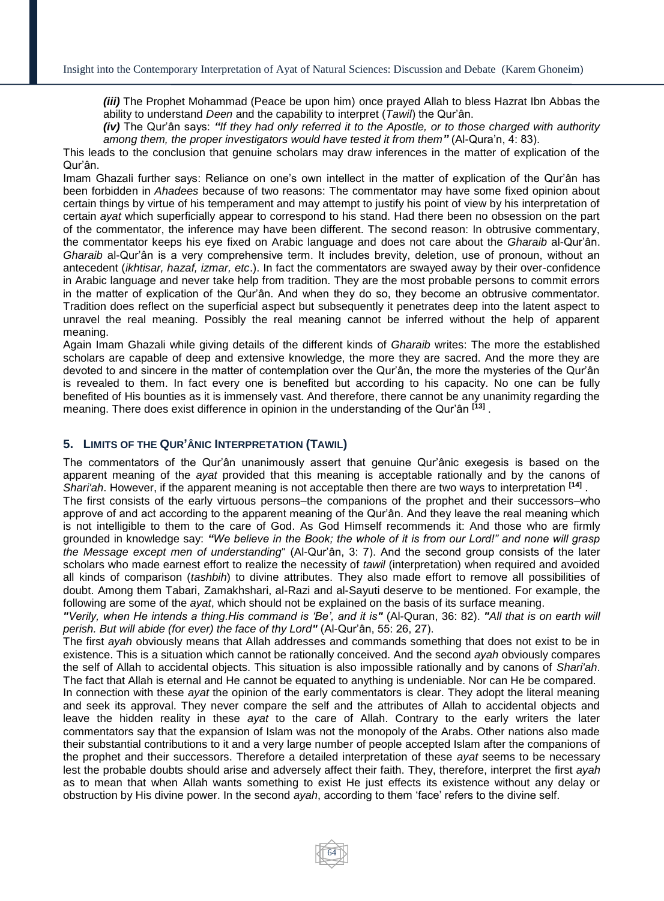*(iii)* The Prophet Mohammad (Peace be upon him) once prayed Allah to bless Hazrat Ibn Abbas the ability to understand *Deen* and the capability to interpret (*Tawil*) the Qur'ân.

*(iv)* The Qur'ân says: *"If they had only referred it to the Apostle, or to those charged with authority among them, the proper investigators would have tested it from them"* (Al-Qura'n, 4: 83).

This leads to the conclusion that genuine scholars may draw inferences in the matter of explication of the Qur'ân.

Imam Ghazali further says: Reliance on one's own intellect in the matter of explication of the Qur'ân has been forbidden in *Ahadees* because of two reasons: The commentator may have some fixed opinion about certain things by virtue of his temperament and may attempt to justify his point of view by his interpretation of certain *ayat* which superficially appear to correspond to his stand. Had there been no obsession on the part of the commentator, the inference may have been different. The second reason: In obtrusive commentary, the commentator keeps his eye fixed on Arabic language and does not care about the *Gharaib* al-Qur'ân. *Gharaib* al-Qur'ân is a very comprehensive term. It includes brevity, deletion, use of pronoun, without an antecedent (*ikhtisar, hazaf, izmar, etc*.). In fact the commentators are swayed away by their over-confidence in Arabic language and never take help from tradition. They are the most probable persons to commit errors in the matter of explication of the Qur'ân. And when they do so, they become an obtrusive commentator. Tradition does reflect on the superficial aspect but subsequently it penetrates deep into the latent aspect to unravel the real meaning. Possibly the real meaning cannot be inferred without the help of apparent meaning.

Again Imam Ghazali while giving details of the different kinds of *Gharaib* writes: The more the established scholars are capable of deep and extensive knowledge, the more they are sacred. And the more they are devoted to and sincere in the matter of contemplation over the Qur'ân, the more the mysteries of the Qur'ân is revealed to them. In fact every one is benefited but according to his capacity. No one can be fully benefited of His bounties as it is immensely vast. And therefore, there cannot be any unanimity regarding the meaning. There does exist difference in opinion in the understanding of the Qur'ân **[13]** .

### **5. LIMITS OF THE QUR'ÂNIC INTERPRETATION (TAWIL)**

The commentators of the Qur'ân unanimously assert that genuine Qur'ânic exegesis is based on the apparent meaning of the *ayat* provided that this meaning is acceptable rationally and by the canons of *Shari'ah*. However, if the apparent meaning is not acceptable then there are two ways to interpretation **[14]** .

The first consists of the early virtuous persons–the companions of the prophet and their successors–who approve of and act according to the apparent meaning of the Qur'ân. And they leave the real meaning which is not intelligible to them to the care of God. As God Himself recommends it: And those who are firmly grounded in knowledge say: *"We believe in the Book; the whole of it is from our Lord!" and none will grasp the Message except men of understanding*" (Al-Qur'ân, 3: 7). And the second group consists of the later scholars who made earnest effort to realize the necessity of *tawil* (interpretation) when required and avoided all kinds of comparison (*tashbih*) to divine attributes. They also made effort to remove all possibilities of doubt. Among them Tabari, Zamakhshari, al-Razi and al-Sayuti deserve to be mentioned. For example, the following are some of the *ayat*, which should not be explained on the basis of its surface meaning.

*"Verily, when He intends a thing.His command is 'Be', and it is"* (Al-Quran, 36: 82). *"All that is on earth will perish. But will abide (for ever) the face of thy Lord"* (Al-Qur'ân, 55: 26, 27).

The first *ayah* obviously means that Allah addresses and commands something that does not exist to be in existence. This is a situation which cannot be rationally conceived. And the second *ayah* obviously compares the self of Allah to accidental objects. This situation is also impossible rationally and by canons of *Shari'ah*. The fact that Allah is eternal and He cannot be equated to anything is undeniable. Nor can He be compared.

In connection with these *ayat* the opinion of the early commentators is clear. They adopt the literal meaning and seek its approval. They never compare the self and the attributes of Allah to accidental objects and leave the hidden reality in these *ayat* to the care of Allah. Contrary to the early writers the later commentators say that the expansion of Islam was not the monopoly of the Arabs. Other nations also made their substantial contributions to it and a very large number of people accepted Islam after the companions of the prophet and their successors. Therefore a detailed interpretation of these *ayat* seems to be necessary lest the probable doubts should arise and adversely affect their faith. They, therefore, interpret the first *ayah* as to mean that when Allah wants something to exist He just effects its existence without any delay or obstruction by His divine power. In the second *ayah*, according to them 'face' refers to the divine self.

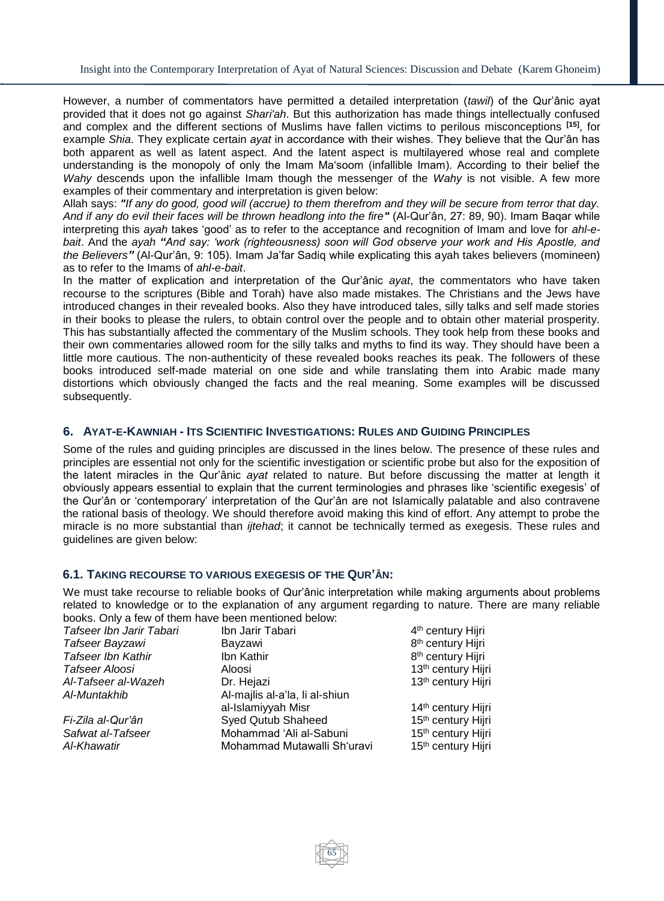However, a number of commentators have permitted a detailed interpretation (*tawil*) of the Qur'ânic ayat provided that it does not go against *Shari'ah*. But this authorization has made things intellectually confused and complex and the different sections of Muslims have fallen victims to perilous misconceptions **[15]**, for example *Shia*. They explicate certain *ayat* in accordance with their wishes. They believe that the Qur'ân has both apparent as well as latent aspect. And the latent aspect is multilayered whose real and complete understanding is the monopoly of only the Imam Ma'soom (infallible Imam). According to their belief the *Wahy* descends upon the infallible Imam though the messenger of the *Wahy* is not visible. A few more examples of their commentary and interpretation is given below:

Allah says: *"If any do good, good will (accrue) to them therefrom and they will be secure from terror that day. And if any do evil their faces will be thrown headlong into the fire"* (Al-Qur'ân, 27: 89, 90). Imam Baqar while interpreting this *ayah* takes 'good' as to refer to the acceptance and recognition of Imam and love for *ahl-ebait*. And the *ayah "And say: 'work (righteousness) soon will God observe your work and His Apostle, and the Believers"* (Al-Qur'ân, 9: 105). Imam Ja'far Sadiq while explicating this ayah takes believers (momineen) as to refer to the Imams of *ahl-e-bait*.

In the matter of explication and interpretation of the Qur'ânic *ayat*, the commentators who have taken recourse to the scriptures (Bible and Torah) have also made mistakes. The Christians and the Jews have introduced changes in their revealed books. Also they have introduced tales, silly talks and self made stories in their books to please the rulers, to obtain control over the people and to obtain other material prosperity. This has substantially affected the commentary of the Muslim schools. They took help from these books and their own commentaries allowed room for the silly talks and myths to find its way. They should have been a little more cautious. The non-authenticity of these revealed books reaches its peak. The followers of these books introduced self-made material on one side and while translating them into Arabic made many distortions which obviously changed the facts and the real meaning. Some examples will be discussed subsequently.

## 6. AYAT-E-KAWNIAH - ITS SCIENTIFIC INVESTIGATIONS: RULES AND GUIDING PRINCIPLES

Some of the rules and guiding principles are discussed in the lines below. The presence of these rules and principles are essential not only for the scientific investigation or scientific probe but also for the exposition of the latent miracles in the Qur'ânic *ayat* related to nature. But before discussing the matter at length it obviously appears essential to explain that the current terminologies and phrases like 'scientific exegesis' of the Qur'ân or 'contemporary' interpretation of the Qur'ân are not Islamically palatable and also contravene the rational basis of theology. We should therefore avoid making this kind of effort. Any attempt to probe the miracle is no more substantial than *ijtehad*; it cannot be technically termed as exegesis. These rules and guidelines are given below:

### **6.1. TAKING RECOURSE TO VARIOUS EXEGESIS OF THE QUR'ÂN:**

We must take recourse to reliable books of Qur'ânic interpretation while making arguments about problems related to knowledge or to the explanation of any argument regarding to nature. There are many reliable books. Only a few of them have been mentioned below:

| Tafseer Ibn Jarir Tabari  | Ibn Jarir Tabari               | 4 <sup>th</sup> century Hijri  |
|---------------------------|--------------------------------|--------------------------------|
| Tafseer Bayzawi           | Bayzawi                        | 8 <sup>th</sup> century Hijri  |
| <b>Tafseer Ibn Kathir</b> | Ibn Kathir                     | 8 <sup>th</sup> century Hijri  |
| Tafseer Aloosi            | Aloosi                         | 13th century Hijri             |
| Al-Tafseer al-Wazeh       | Dr. Hejazi                     | 13th century Hijri             |
| Al-Muntakhib              | Al-majlis al-a'la, li al-shiun |                                |
|                           | al-Islamiyyah Misr             | 14th century Hijri             |
| Fi-Zila al-Qur'ân         | <b>Syed Qutub Shaheed</b>      | 15 <sup>th</sup> century Hijri |
| Safwat al-Tafseer         | Mohammad 'Ali al-Sabuni        | 15 <sup>th</sup> century Hijri |
| Al-Khawatir               | Mohammad Mutawalli Sh'uravi    | 15 <sup>th</sup> century Hijri |
|                           |                                |                                |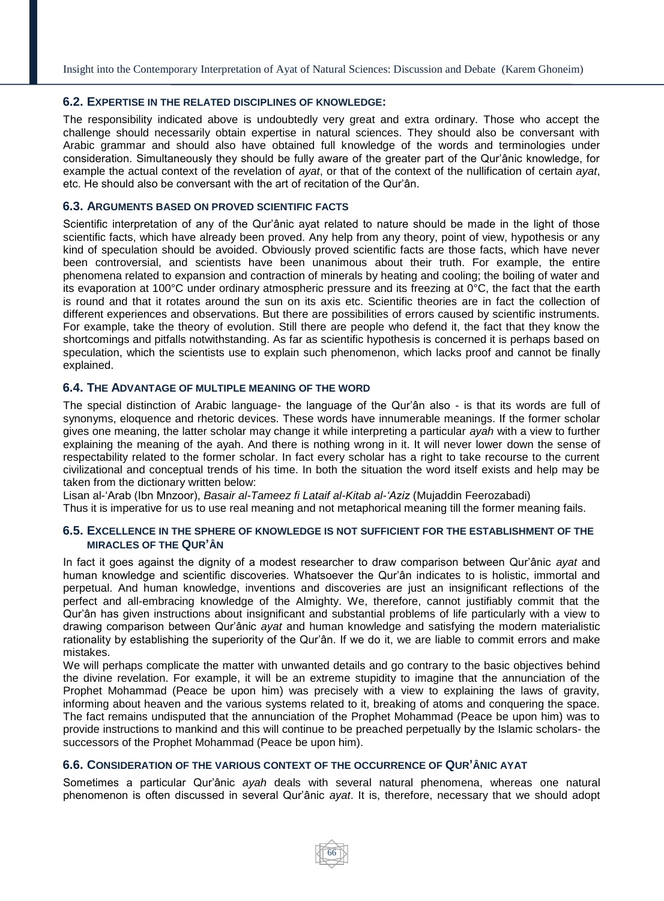Insight into the Contemporary Interpretation of Ayat of Natural Sciences: Discussion and Debate (Karem Ghoneim)

## **6.2. EXPERTISE IN THE RELATED DISCIPLINES OF KNOWLEDGE:**

The responsibility indicated above is undoubtedly very great and extra ordinary. Those who accept the challenge should necessarily obtain expertise in natural sciences. They should also be conversant with Arabic grammar and should also have obtained full knowledge of the words and terminologies under consideration. Simultaneously they should be fully aware of the greater part of the Qur'ânic knowledge, for example the actual context of the revelation of *ayat*, or that of the context of the nullification of certain *ayat*, etc. He should also be conversant with the art of recitation of the Qur'ân.

## **6.3. ARGUMENTS BASED ON PROVED SCIENTIFIC FACTS**

Scientific interpretation of any of the Qur'ânic ayat related to nature should be made in the light of those scientific facts, which have already been proved. Any help from any theory, point of view, hypothesis or any kind of speculation should be avoided. Obviously proved scientific facts are those facts, which have never been controversial, and scientists have been unanimous about their truth. For example, the entire phenomena related to expansion and contraction of minerals by heating and cooling; the boiling of water and its evaporation at 100°C under ordinary atmospheric pressure and its freezing at 0°C, the fact that the earth is round and that it rotates around the sun on its axis etc. Scientific theories are in fact the collection of different experiences and observations. But there are possibilities of errors caused by scientific instruments. For example, take the theory of evolution. Still there are people who defend it, the fact that they know the shortcomings and pitfalls notwithstanding. As far as scientific hypothesis is concerned it is perhaps based on speculation, which the scientists use to explain such phenomenon, which lacks proof and cannot be finally explained.

## **6.4. THE ADVANTAGE OF MULTIPLE MEANING OF THE WORD**

The special distinction of Arabic language- the language of the Qur'ân also - is that its words are full of synonyms, eloquence and rhetoric devices. These words have innumerable meanings. If the former scholar gives one meaning, the latter scholar may change it while interpreting a particular *ayah* with a view to further explaining the meaning of the ayah. And there is nothing wrong in it. It will never lower down the sense of respectability related to the former scholar. In fact every scholar has a right to take recourse to the current civilizational and conceptual trends of his time. In both the situation the word itself exists and help may be taken from the dictionary written below:

Lisan al-'Arab (Ibn Mnzoor), *Basair al-Tameez fi Lataif al-Kitab al-'Aziz* (Mujaddin Feerozabadi)

Thus it is imperative for us to use real meaning and not metaphorical meaning till the former meaning fails.

## **6.5. EXCELLENCE IN THE SPHERE OF KNOWLEDGE IS NOT SUFFICIENT FOR THE ESTABLISHMENT OF THE MIRACLES OF THE QUR'ÂN**

In fact it goes against the dignity of a modest researcher to draw comparison between Qur'ânic *ayat* and human knowledge and scientific discoveries. Whatsoever the Qur'ân indicates to is holistic, immortal and perpetual. And human knowledge, inventions and discoveries are just an insignificant reflections of the perfect and all-embracing knowledge of the Almighty. We, therefore, cannot justifiably commit that the Qur'ân has given instructions about insignificant and substantial problems of life particularly with a view to drawing comparison between Qur'ânic *ayat* and human knowledge and satisfying the modern materialistic rationality by establishing the superiority of the Qur'ân. If we do it, we are liable to commit errors and make mistakes.

We will perhaps complicate the matter with unwanted details and go contrary to the basic objectives behind the divine revelation. For example, it will be an extreme stupidity to imagine that the annunciation of the Prophet Mohammad (Peace be upon him) was precisely with a view to explaining the laws of gravity, informing about heaven and the various systems related to it, breaking of atoms and conquering the space. The fact remains undisputed that the annunciation of the Prophet Mohammad (Peace be upon him) was to provide instructions to mankind and this will continue to be preached perpetually by the Islamic scholars- the successors of the Prophet Mohammad (Peace be upon him).

## **6.6. CONSIDERATION OF THE VARIOUS CONTEXT OF THE OCCURRENCE OF QUR'ÂNIC AYAT**

Sometimes a particular Qur'ânic *ayah* deals with several natural phenomena, whereas one natural phenomenon is often discussed in several Qur'ânic *ayat*. It is, therefore, necessary that we should adopt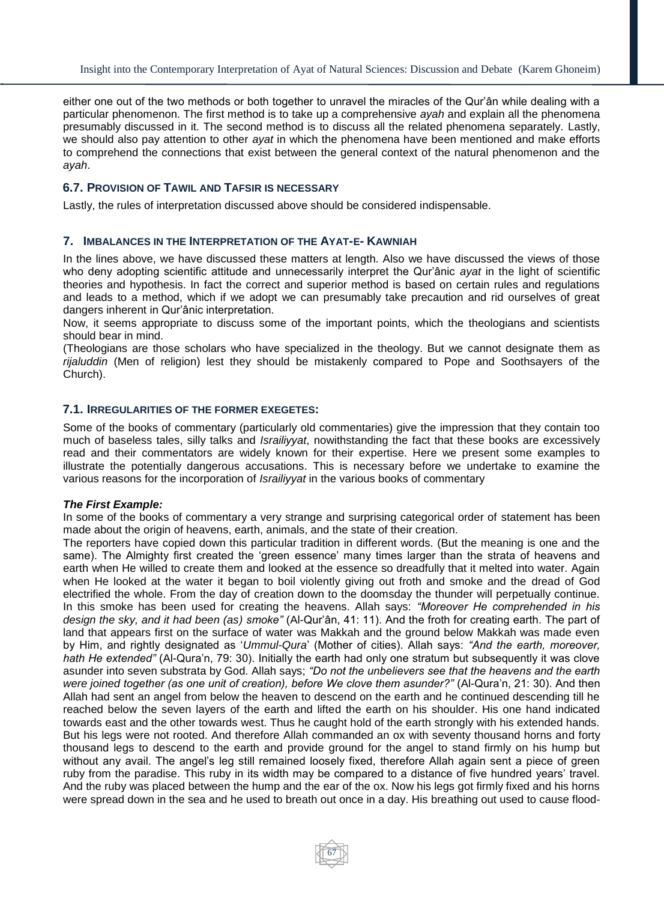either one out of the two methods or both together to unravel the miracles of the Qur'ân while dealing with a particular phenomenon. The first method is to take up a comprehensive *ayah* and explain all the phenomena presumably discussed in it. The second method is to discuss all the related phenomena separately. Lastly, we should also pay attention to other *ayat* in which the phenomena have been mentioned and make efforts to comprehend the connections that exist between the general context of the natural phenomenon and the *ayah*.

## **6.7. PROVISION OF TAWIL AND TAFSIR IS NECESSARY**

Lastly, the rules of interpretation discussed above should be considered indispensable.

### **7. IMBALANCES IN THE INTERPRETATION OF THE AYAT-E- KAWNIAH**

In the lines above, we have discussed these matters at length. Also we have discussed the views of those who deny adopting scientific attitude and unnecessarily interpret the Qur'ânic *ayat* in the light of scientific theories and hypothesis. In fact the correct and superior method is based on certain rules and regulations and leads to a method, which if we adopt we can presumably take precaution and rid ourselves of great dangers inherent in Qur'ânic interpretation.

Now, it seems appropriate to discuss some of the important points, which the theologians and scientists should bear in mind.

(Theologians are those scholars who have specialized in the theology. But we cannot designate them as *rijaluddin* (Men of religion) lest they should be mistakenly compared to Pope and Soothsayers of the Church).

## **7.1. IRREGULARITIES OF THE FORMER EXEGETES:**

Some of the books of commentary (particularly old commentaries) give the impression that they contain too much of baseless tales, silly talks and *Israiliyyat*, nowithstanding the fact that these books are excessively read and their commentators are widely known for their expertise. Here we present some examples to illustrate the potentially dangerous accusations. This is necessary before we undertake to examine the various reasons for the incorporation of *Israiliyyat* in the various books of commentary

### *The First Example:*

In some of the books of commentary a very strange and surprising categorical order of statement has been made about the origin of heavens, earth, animals, and the state of their creation.

The reporters have copied down this particular tradition in different words. (But the meaning is one and the same). The Almighty first created the 'green essence' many times larger than the strata of heavens and earth when He willed to create them and looked at the essence so dreadfully that it melted into water. Again when He looked at the water it began to boil violently giving out froth and smoke and the dread of God electrified the whole. From the day of creation down to the doomsday the thunder will perpetually continue. In this smoke has been used for creating the heavens. Allah says: *"Moreover He comprehended in his design the sky, and it had been (as) smoke"* (Al-Qur'ân, 41: 11). And the froth for creating earth. The part of land that appears first on the surface of water was Makkah and the ground below Makkah was made even by Him, and rightly designated as '*Ummul-Qura*' (Mother of cities). Allah says: *"And the earth, moreover, hath He extended"* (Al-Qura'n, 79: 30). Initially the earth had only one stratum but subsequently it was clove asunder into seven substrata by God. Allah says; *"Do not the unbelievers see that the heavens and the earth were joined together (as one unit of creation), before We clove them asunder?"* (Al-Qura'n, 21: 30). And then Allah had sent an angel from below the heaven to descend on the earth and he continued descending till he reached below the seven layers of the earth and lifted the earth on his shoulder. His one hand indicated towards east and the other towards west. Thus he caught hold of the earth strongly with his extended hands. But his legs were not rooted. And therefore Allah commanded an ox with seventy thousand horns and forty thousand legs to descend to the earth and provide ground for the angel to stand firmly on his hump but without any avail. The angel's leg still remained loosely fixed, therefore Allah again sent a piece of green ruby from the paradise. This ruby in its width may be compared to a distance of five hundred years' travel. And the ruby was placed between the hump and the ear of the ox. Now his legs got firmly fixed and his horns were spread down in the sea and he used to breath out once in a day. His breathing out used to cause flood-

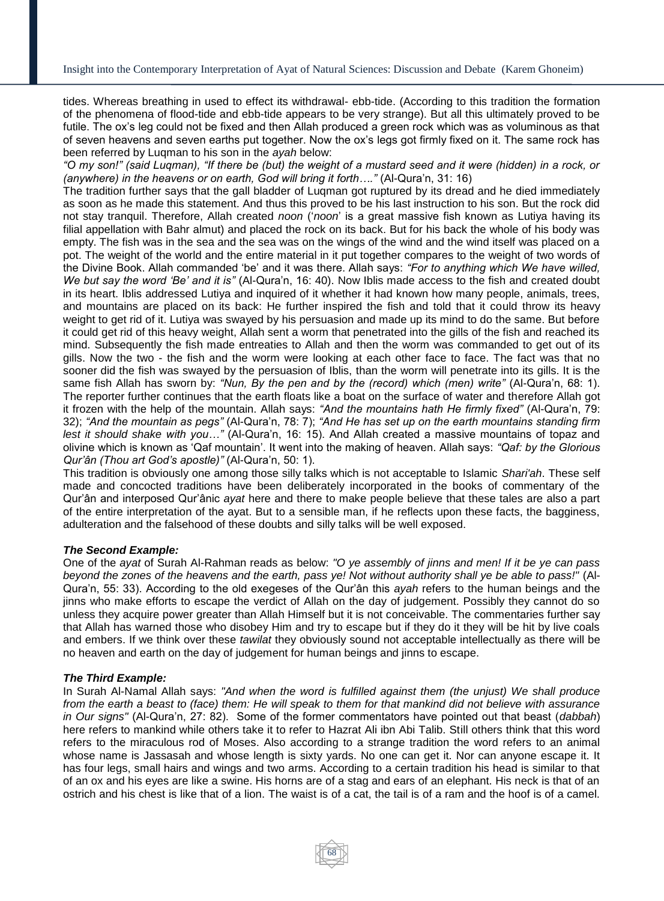tides. Whereas breathing in used to effect its withdrawal- ebb-tide. (According to this tradition the formation of the phenomena of flood-tide and ebb-tide appears to be very strange). But all this ultimately proved to be futile. The ox's leg could not be fixed and then Allah produced a green rock which was as voluminous as that of seven heavens and seven earths put together. Now the ox's legs got firmly fixed on it. The same rock has been referred by Luqman to his son in the *ayah* below:

*"O my son!" (said Luqman), "If there be (but) the weight of a mustard seed and it were (hidden) in a rock, or (anywhere) in the heavens or on earth, God will bring it forth…."* (Al-Qura'n, 31: 16)

The tradition further says that the gall bladder of Luqman got ruptured by its dread and he died immediately as soon as he made this statement. And thus this proved to be his last instruction to his son. But the rock did not stay tranquil. Therefore, Allah created *noon* ('*noon*' is a great massive fish known as Lutiya having its filial appellation with Bahr almut) and placed the rock on its back. But for his back the whole of his body was empty. The fish was in the sea and the sea was on the wings of the wind and the wind itself was placed on a pot. The weight of the world and the entire material in it put together compares to the weight of two words of the Divine Book. Allah commanded 'be' and it was there. Allah says: *"For to anything which We have willed, We but say the word 'Be' and it is"* (Al-Qura'n, 16: 40). Now Iblis made access to the fish and created doubt in its heart. Iblis addressed Lutiya and inquired of it whether it had known how many people, animals, trees, and mountains are placed on its back: He further inspired the fish and told that it could throw its heavy weight to get rid of it. Lutiya was swayed by his persuasion and made up its mind to do the same. But before it could get rid of this heavy weight, Allah sent a worm that penetrated into the gills of the fish and reached its mind. Subsequently the fish made entreaties to Allah and then the worm was commanded to get out of its gills. Now the two - the fish and the worm were looking at each other face to face. The fact was that no sooner did the fish was swayed by the persuasion of Iblis, than the worm will penetrate into its gills. It is the same fish Allah has sworn by: *"Nun, By the pen and by the (record) which (men) write"* (Al-Qura'n, 68: 1). The reporter further continues that the earth floats like a boat on the surface of water and therefore Allah got it frozen with the help of the mountain. Allah says: *"And the mountains hath He firmly fixed"* (Al-Qura'n, 79: 32); *"And the mountain as pegs"* (Al-Qura'n, 78: 7); *"And He has set up on the earth mountains standing firm lest it should shake with you…"* (Al-Qura'n, 16: 15). And Allah created a massive mountains of topaz and olivine which is known as 'Qaf mountain'. It went into the making of heaven. Allah says: *"Qaf: by the Glorious Qur'ân (Thou art God's apostle)"* (Al-Qura'n, 50: 1).

This tradition is obviously one among those silly talks which is not acceptable to Islamic *Shari'ah*. These self made and concocted traditions have been deliberately incorporated in the books of commentary of the Qur'ân and interposed Qur'ânic *ayat* here and there to make people believe that these tales are also a part of the entire interpretation of the ayat. But to a sensible man, if he reflects upon these facts, the bagginess, adulteration and the falsehood of these doubts and silly talks will be well exposed.

### *The Second Example:*

One of the *ayat* of Surah Al-Rahman reads as below: *"O ye assembly of jinns and men! If it be ye can pass beyond the zones of the heavens and the earth, pass ye! Not without authority shall ye be able to pass!"* (Al-Qura'n, 55: 33). According to the old exegeses of the Qur'ân this *ayah* refers to the human beings and the jinns who make efforts to escape the verdict of Allah on the day of judgement. Possibly they cannot do so unless they acquire power greater than Allah Himself but it is not conceivable. The commentaries further say that Allah has warned those who disobey Him and try to escape but if they do it they will be hit by live coals and embers. If we think over these *tawilat* they obviously sound not acceptable intellectually as there will be no heaven and earth on the day of judgement for human beings and jinns to escape.

### *The Third Example:*

In Surah Al-Namal Allah says: *"And when the word is fulfilled against them (the unjust) We shall produce from the earth a beast to (face) them: He will speak to them for that mankind did not believe with assurance in Our signs"* (Al-Qura'n, 27: 82). Some of the former commentators have pointed out that beast (*dabbah*) here refers to mankind while others take it to refer to Hazrat Ali ibn Abi Talib. Still others think that this word refers to the miraculous rod of Moses. Also according to a strange tradition the word refers to an animal whose name is Jassasah and whose length is sixty yards. No one can get it. Nor can anyone escape it. It has four legs, small hairs and wings and two arms. According to a certain tradition his head is similar to that of an ox and his eyes are like a swine. His horns are of a stag and ears of an elephant. His neck is that of an ostrich and his chest is like that of a lion. The waist is of a cat, the tail is of a ram and the hoof is of a camel.

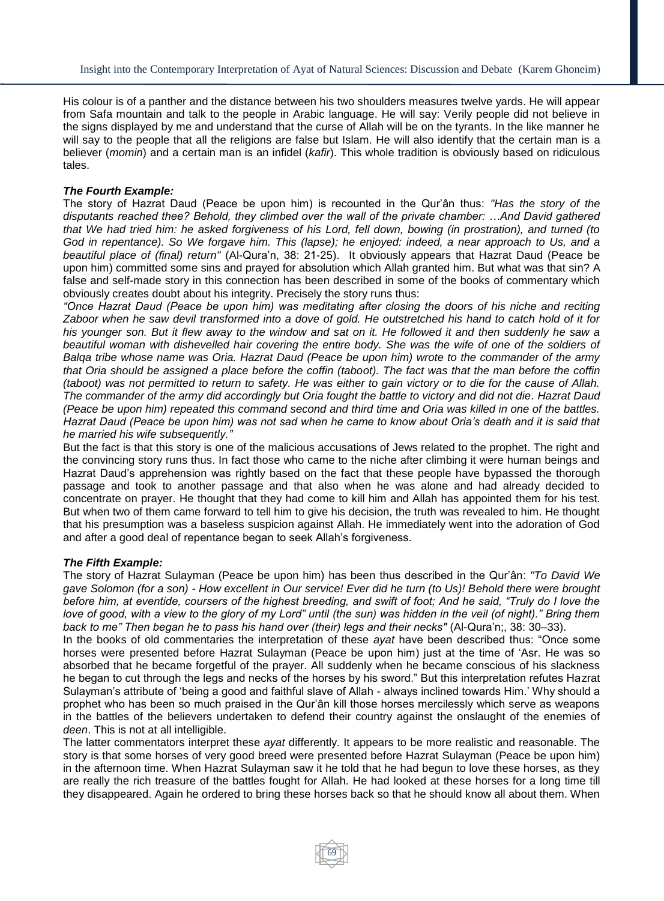His colour is of a panther and the distance between his two shoulders measures twelve yards. He will appear from Safa mountain and talk to the people in Arabic language. He will say: Verily people did not believe in the signs displayed by me and understand that the curse of Allah will be on the tyrants. In the like manner he will say to the people that all the religions are false but Islam. He will also identify that the certain man is a believer (*momin*) and a certain man is an infidel (*kafir*). This whole tradition is obviously based on ridiculous tales.

## *The Fourth Example:*

The story of Hazrat Daud (Peace be upon him) is recounted in the Qur'ân thus: *"Has the story of the disputants reached thee? Behold, they climbed over the wall of the private chamber: …And David gathered that We had tried him: he asked forgiveness of his Lord, fell down, bowing (in prostration), and turned (to God in repentance). So We forgave him. This (lapse); he enjoyed: indeed, a near approach to Us, and a beautiful place of (final) return"* (Al-Qura'n, 38: 21-25). It obviously appears that Hazrat Daud (Peace be upon him) committed some sins and prayed for absolution which Allah granted him. But what was that sin? A false and self-made story in this connection has been described in some of the books of commentary which obviously creates doubt about his integrity. Precisely the story runs thus:

*"Once Hazrat Daud (Peace be upon him) was meditating after closing the doors of his niche and reciting Zaboor when he saw devil transformed into a dove of gold. He outstretched his hand to catch hold of it for his younger son. But it flew away to the window and sat on it. He followed it and then suddenly he saw a beautiful woman with dishevelled hair covering the entire body. She was the wife of one of the soldiers of Balqa tribe whose name was Oria. Hazrat Daud (Peace be upon him) wrote to the commander of the army that Oria should be assigned a place before the coffin (taboot). The fact was that the man before the coffin (taboot) was not permitted to return to safety. He was either to gain victory or to die for the cause of Allah. The commander of the army did accordingly but Oria fought the battle to victory and did not die. Hazrat Daud (Peace be upon him) repeated this command second and third time and Oria was killed in one of the battles. Hazrat Daud (Peace be upon him) was not sad when he came to know about Oria's death and it is said that he married his wife subsequently."*

But the fact is that this story is one of the malicious accusations of Jews related to the prophet. The right and the convincing story runs thus. In fact those who came to the niche after climbing it were human beings and Hazrat Daud's apprehension was rightly based on the fact that these people have bypassed the thorough passage and took to another passage and that also when he was alone and had already decided to concentrate on prayer. He thought that they had come to kill him and Allah has appointed them for his test. But when two of them came forward to tell him to give his decision, the truth was revealed to him. He thought that his presumption was a baseless suspicion against Allah. He immediately went into the adoration of God and after a good deal of repentance began to seek Allah's forgiveness.

### *The Fifth Example:*

The story of Hazrat Sulayman (Peace be upon him) has been thus described in the Qur'ân: *"To David We gave Solomon (for a son) - How excellent in Our service! Ever did he turn (to Us)! Behold there were brought before him, at eventide, coursers of the highest breeding, and swift of foot; And he said, "Truly do I love the love of good, with a view to the glory of my Lord" until (the sun) was hidden in the veil (of night)." Bring them back to me" Then began he to pass his hand over (their) legs and their necks"* (Al-Qura'n;, 38: 30–33).

In the books of old commentaries the interpretation of these *ayat* have been described thus: "Once some horses were presented before Hazrat Sulayman (Peace be upon him) just at the time of 'Asr. He was so absorbed that he became forgetful of the prayer. All suddenly when he became conscious of his slackness he began to cut through the legs and necks of the horses by his sword." But this interpretation refutes Hazrat Sulayman's attribute of 'being a good and faithful slave of Allah - always inclined towards Him.' Why should a prophet who has been so much praised in the Qur'ân kill those horses mercilessly which serve as weapons in the battles of the believers undertaken to defend their country against the onslaught of the enemies of *deen*. This is not at all intelligible.

The latter commentators interpret these *ayat* differently. It appears to be more realistic and reasonable. The story is that some horses of very good breed were presented before Hazrat Sulayman (Peace be upon him) in the afternoon time. When Hazrat Sulayman saw it he told that he had begun to love these horses, as they are really the rich treasure of the battles fought for Allah. He had looked at these horses for a long time till they disappeared. Again he ordered to bring these horses back so that he should know all about them. When

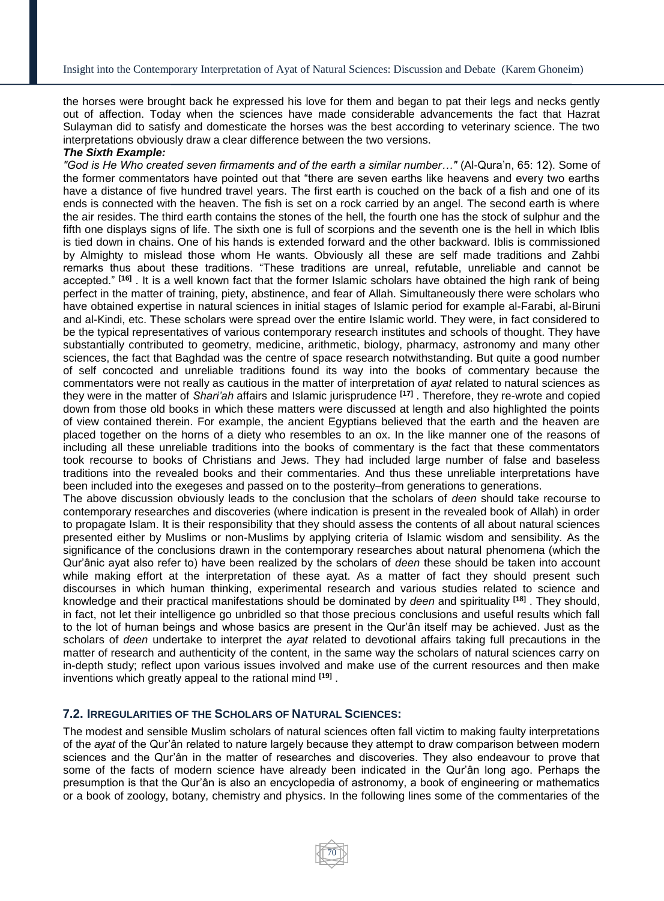the horses were brought back he expressed his love for them and began to pat their legs and necks gently out of affection. Today when the sciences have made considerable advancements the fact that Hazrat Sulayman did to satisfy and domesticate the horses was the best according to veterinary science. The two interpretations obviously draw a clear difference between the two versions.

## *The Sixth Example:*

*"God is He Who created seven firmaments and of the earth a similar number…"* (Al-Qura'n, 65: 12). Some of the former commentators have pointed out that "there are seven earths like heavens and every two earths have a distance of five hundred travel years. The first earth is couched on the back of a fish and one of its ends is connected with the heaven. The fish is set on a rock carried by an angel. The second earth is where the air resides. The third earth contains the stones of the hell, the fourth one has the stock of sulphur and the fifth one displays signs of life. The sixth one is full of scorpions and the seventh one is the hell in which Iblis is tied down in chains. One of his hands is extended forward and the other backward. Iblis is commissioned by Almighty to mislead those whom He wants. Obviously all these are self made traditions and Zahbi remarks thus about these traditions. "These traditions are unreal, refutable, unreliable and cannot be accepted." **[16]** . It is a well known fact that the former Islamic scholars have obtained the high rank of being perfect in the matter of training, piety, abstinence, and fear of Allah. Simultaneously there were scholars who have obtained expertise in natural sciences in initial stages of Islamic period for example al-Farabi, al-Biruni and al-Kindi, etc. These scholars were spread over the entire Islamic world. They were, in fact considered to be the typical representatives of various contemporary research institutes and schools of thought. They have substantially contributed to geometry, medicine, arithmetic, biology, pharmacy, astronomy and many other sciences, the fact that Baghdad was the centre of space research notwithstanding. But quite a good number of self concocted and unreliable traditions found its way into the books of commentary because the commentators were not really as cautious in the matter of interpretation of *ayat* related to natural sciences as they were in the matter of *Shari'ah* affairs and Islamic jurisprudence **[17]** . Therefore, they re-wrote and copied down from those old books in which these matters were discussed at length and also highlighted the points of view contained therein. For example, the ancient Egyptians believed that the earth and the heaven are placed together on the horns of a diety who resembles to an ox. In the like manner one of the reasons of including all these unreliable traditions into the books of commentary is the fact that these commentators took recourse to books of Christians and Jews. They had included large number of false and baseless traditions into the revealed books and their commentaries. And thus these unreliable interpretations have been included into the exegeses and passed on to the posterity–from generations to generations. The above discussion obviously leads to the conclusion that the scholars of *deen* should take recourse to

contemporary researches and discoveries (where indication is present in the revealed book of Allah) in order to propagate Islam. It is their responsibility that they should assess the contents of all about natural sciences presented either by Muslims or non-Muslims by applying criteria of Islamic wisdom and sensibility. As the significance of the conclusions drawn in the contemporary researches about natural phenomena (which the Qur'ânic ayat also refer to) have been realized by the scholars of *deen* these should be taken into account while making effort at the interpretation of these ayat. As a matter of fact they should present such discourses in which human thinking, experimental research and various studies related to science and knowledge and their practical manifestations should be dominated by *deen* and spirituality **[18]** . They should, in fact, not let their intelligence go unbridled so that those precious conclusions and useful results which fall to the lot of human beings and whose basics are present in the Qur'ân itself may be achieved. Just as the scholars of *deen* undertake to interpret the *ayat* related to devotional affairs taking full precautions in the matter of research and authenticity of the content, in the same way the scholars of natural sciences carry on in-depth study; reflect upon various issues involved and make use of the current resources and then make inventions which greatly appeal to the rational mind **[19]** .

### **7.2. IRREGULARITIES OF THE SCHOLARS OF NATURAL SCIENCES:**

The modest and sensible Muslim scholars of natural sciences often fall victim to making faulty interpretations of the *ayat* of the Qur'ân related to nature largely because they attempt to draw comparison between modern sciences and the Qur'ân in the matter of researches and discoveries. They also endeavour to prove that some of the facts of modern science have already been indicated in the Qur'ân long ago. Perhaps the presumption is that the Qur'ân is also an encyclopedia of astronomy, a book of engineering or mathematics or a book of zoology, botany, chemistry and physics. In the following lines some of the commentaries of the

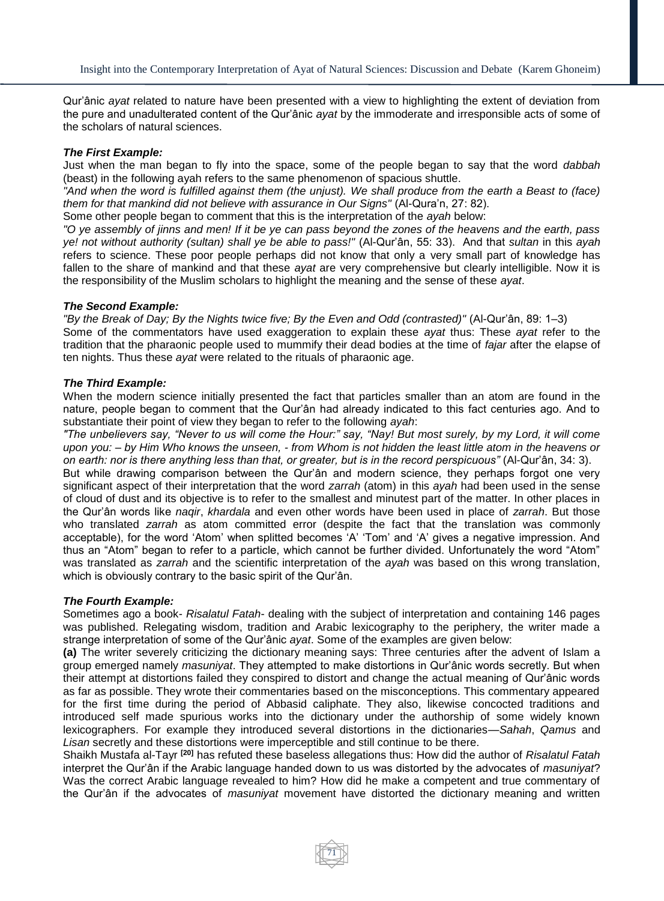Qur'ânic *ayat* related to nature have been presented with a view to highlighting the extent of deviation from the pure and unadulterated content of the Qur'ânic *ayat* by the immoderate and irresponsible acts of some of the scholars of natural sciences.

### *The First Example:*

Just when the man began to fly into the space, some of the people began to say that the word *dabbah* (beast) in the following ayah refers to the same phenomenon of spacious shuttle.

*"And when the word is fulfilled against them (the unjust). We shall produce from the earth a Beast to (face) them for that mankind did not believe with assurance in Our Signs"* (Al-Qura'n, 27: 82).

Some other people began to comment that this is the interpretation of the *ayah* below:

*"O ye assembly of jinns and men! If it be ye can pass beyond the zones of the heavens and the earth, pass ye! not without authority (sultan) shall ye be able to pass!"* (Al-Qur'ân, 55: 33). And that *sultan* in this *ayah* refers to science. These poor people perhaps did not know that only a very small part of knowledge has fallen to the share of mankind and that these *ayat* are very comprehensive but clearly intelligible. Now it is the responsibility of the Muslim scholars to highlight the meaning and the sense of these *ayat*.

## *The Second Example:*

*"By the Break of Day; By the Nights twice five; By the Even and Odd (contrasted)"* (Al-Qur'ân, 89: 1–3) Some of the commentators have used exaggeration to explain these *ayat* thus: These *ayat* refer to the tradition that the pharaonic people used to mummify their dead bodies at the time of *fajar* after the elapse of ten nights. Thus these *ayat* were related to the rituals of pharaonic age.

## *The Third Example:*

When the modern science initially presented the fact that particles smaller than an atom are found in the nature, people began to comment that the Qur'ân had already indicated to this fact centuries ago. And to substantiate their point of view they began to refer to the following *ayah*:

*"The unbelievers say, "Never to us will come the Hour:" say, "Nay! But most surely, by my Lord, it will come upon you: – by Him Who knows the unseen, - from Whom is not hidden the least little atom in the heavens or on earth: nor is there anything less than that, or greater, but is in the record perspicuous"* (Al-Qur'ân, 34: 3).

But while drawing comparison between the Qur'ân and modern science, they perhaps forgot one very significant aspect of their interpretation that the word *zarrah* (atom) in this *ayah* had been used in the sense of cloud of dust and its objective is to refer to the smallest and minutest part of the matter. In other places in the Qur'ân words like *naqir*, *khardala* and even other words have been used in place of *zarrah*. But those who translated *zarrah* as atom committed error (despite the fact that the translation was commonly acceptable), for the word 'Atom' when splitted becomes 'A' 'Tom' and 'A' gives a negative impression. And thus an "Atom" began to refer to a particle, which cannot be further divided. Unfortunately the word "Atom" was translated as *zarrah* and the scientific interpretation of the *ayah* was based on this wrong translation, which is obviously contrary to the basic spirit of the Qur'ân.

### *The Fourth Example:*

Sometimes ago a book- *Risalatul Fatah*- dealing with the subject of interpretation and containing 146 pages was published. Relegating wisdom, tradition and Arabic lexicography to the periphery, the writer made a strange interpretation of some of the Qur'ânic *ayat*. Some of the examples are given below:

**(a)** The writer severely criticizing the dictionary meaning says: Three centuries after the advent of Islam a group emerged namely *masuniyat*. They attempted to make distortions in Qur'ânic words secretly. But when their attempt at distortions failed they conspired to distort and change the actual meaning of Qur'ânic words as far as possible. They wrote their commentaries based on the misconceptions. This commentary appeared for the first time during the period of Abbasid caliphate. They also, likewise concocted traditions and introduced self made spurious works into the dictionary under the authorship of some widely known lexicographers. For example they introduced several distortions in the dictionaries—*Sahah*, *Qamus* and *Lisan* secretly and these distortions were imperceptible and still continue to be there.

Shaikh Mustafa al-Tayr **[20]** has refuted these baseless allegations thus: How did the author of *Risalatul Fatah* interpret the Qur'ân if the Arabic language handed down to us was distorted by the advocates of *masuniyat*? Was the correct Arabic language revealed to him? How did he make a competent and true commentary of the Qur'ân if the advocates of *masuniyat* movement have distorted the dictionary meaning and written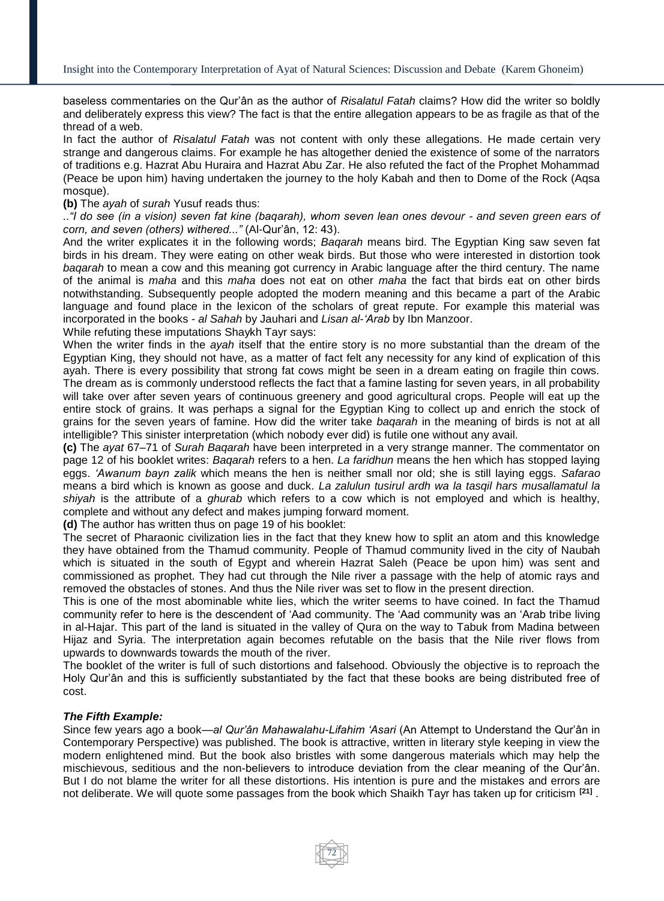baseless commentaries on the Qur'ân as the author of *Risalatul Fatah* claims? How did the writer so boldly and deliberately express this view? The fact is that the entire allegation appears to be as fragile as that of the thread of a web.

In fact the author of *Risalatul Fatah* was not content with only these allegations. He made certain very strange and dangerous claims. For example he has altogether denied the existence of some of the narrators of traditions e.g. Hazrat Abu Huraira and Hazrat Abu Zar. He also refuted the fact of the Prophet Mohammad (Peace be upon him) having undertaken the journey to the holy Kabah and then to Dome of the Rock (Aqsa mosque).

#### **(b)** The *ayah* of *surah* Yusuf reads thus:

*.."I do see (in a vision) seven fat kine (baqarah), whom seven lean ones devour - and seven green ears of corn, and seven (others) withered..."* (Al-Qur'ân, 12: 43).

And the writer explicates it in the following words; *Baqarah* means bird. The Egyptian King saw seven fat birds in his dream. They were eating on other weak birds. But those who were interested in distortion took *baqarah* to mean a cow and this meaning got currency in Arabic language after the third century. The name of the animal is *maha* and this *maha* does not eat on other *maha* the fact that birds eat on other birds notwithstanding. Subsequently people adopted the modern meaning and this became a part of the Arabic language and found place in the lexicon of the scholars of great repute. For example this material was incorporated in the books - *al Sahah* by Jauhari and *Lisan al-'Arab* by Ibn Manzoor.

While refuting these imputations Shaykh Tayr says:

When the writer finds in the *ayah* itself that the entire story is no more substantial than the dream of the Egyptian King, they should not have, as a matter of fact felt any necessity for any kind of explication of this ayah. There is every possibility that strong fat cows might be seen in a dream eating on fragile thin cows. The dream as is commonly understood reflects the fact that a famine lasting for seven years, in all probability will take over after seven years of continuous greenery and good agricultural crops. People will eat up the entire stock of grains. It was perhaps a signal for the Egyptian King to collect up and enrich the stock of grains for the seven years of famine. How did the writer take *baqarah* in the meaning of birds is not at all intelligible? This sinister interpretation (which nobody ever did) is futile one without any avail.

**(c)** The *ayat* 67–71 of *Surah Baqarah* have been interpreted in a very strange manner. The commentator on page 12 of his booklet writes: *Baqarah* refers to a hen. *La faridhun* means the hen which has stopped laying eggs. *'Awanum bayn zalik* which means the hen is neither small nor old; she is still laying eggs. *Safarao* means a bird which is known as goose and duck. *La zalulun tusirul ardh wa la tasqil hars musallamatul la shiyah* is the attribute of a *ghurab* which refers to a cow which is not employed and which is healthy, complete and without any defect and makes jumping forward moment.

**(d)** The author has written thus on page 19 of his booklet:

The secret of Pharaonic civilization lies in the fact that they knew how to split an atom and this knowledge they have obtained from the Thamud community. People of Thamud community lived in the city of Naubah which is situated in the south of Egypt and wherein Hazrat Saleh (Peace be upon him) was sent and commissioned as prophet. They had cut through the Nile river a passage with the help of atomic rays and removed the obstacles of stones. And thus the Nile river was set to flow in the present direction.

This is one of the most abominable white lies, which the writer seems to have coined. In fact the Thamud community refer to here is the descendent of 'Aad community. The 'Aad community was an 'Arab tribe living in al-Hajar. This part of the land is situated in the valley of Qura on the way to Tabuk from Madina between Hijaz and Syria. The interpretation again becomes refutable on the basis that the Nile river flows from upwards to downwards towards the mouth of the river.

The booklet of the writer is full of such distortions and falsehood. Obviously the objective is to reproach the Holy Qur'ân and this is sufficiently substantiated by the fact that these books are being distributed free of cost.

### *The Fifth Example:*

Since few years ago a book—*al Qur'ân Mahawalahu-Lifahim 'Asari* (An Attempt to Understand the Qur'ân in Contemporary Perspective) was published. The book is attractive, written in literary style keeping in view the modern enlightened mind. But the book also bristles with some dangerous materials which may help the mischievous, seditious and the non-believers to introduce deviation from the clear meaning of the Qur'ân. But I do not blame the writer for all these distortions. His intention is pure and the mistakes and errors are not deliberate. We will quote some passages from the book which Shaikh Tayr has taken up for criticism **[21]** .

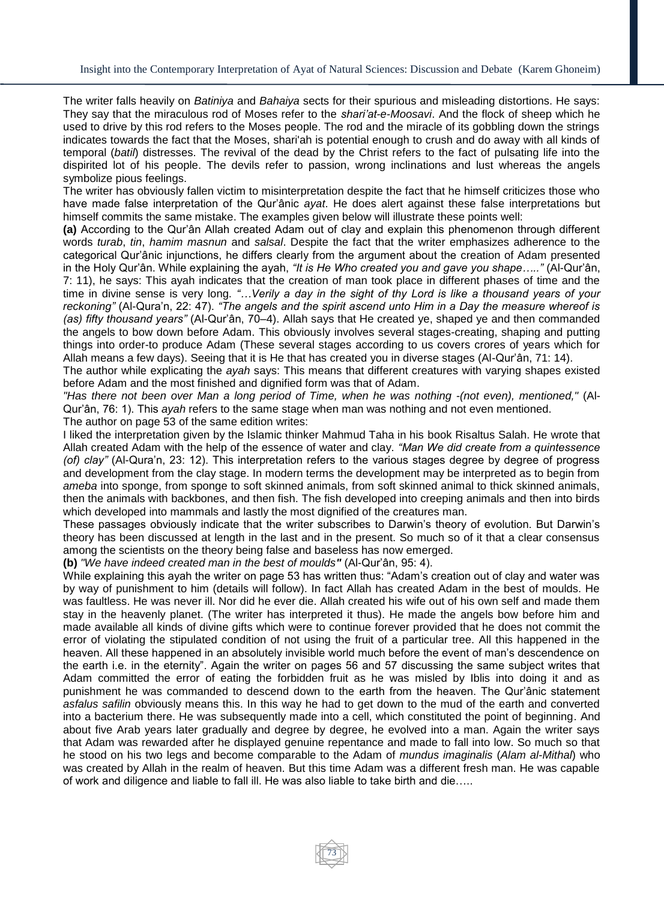The writer falls heavily on *Batiniya* and *Bahaiya* sects for their spurious and misleading distortions. He says: They say that the miraculous rod of Moses refer to the *shari'at-e-Moosavi*. And the flock of sheep which he used to drive by this rod refers to the Moses people. The rod and the miracle of its gobbling down the strings indicates towards the fact that the Moses, shari'ah is potential enough to crush and do away with all kinds of temporal (*batil*) distresses. The revival of the dead by the Christ refers to the fact of pulsating life into the dispirited lot of his people. The devils refer to passion, wrong inclinations and lust whereas the angels symbolize pious feelings.

The writer has obviously fallen victim to misinterpretation despite the fact that he himself criticizes those who have made false interpretation of the Qur'ânic *ayat*. He does alert against these false interpretations but himself commits the same mistake. The examples given below will illustrate these points well:

**(a)** According to the Qur'ân Allah created Adam out of clay and explain this phenomenon through different words *turab*, *tin*, *hamim masnun* and *salsal*. Despite the fact that the writer emphasizes adherence to the categorical Qur'ânic injunctions, he differs clearly from the argument about the creation of Adam presented in the Holy Qur'ân. While explaining the ayah, *"It is He Who created you and gave you shape….."* (Al-Qur'ân, 7: 11), he says: This ayah indicates that the creation of man took place in different phases of time and the time in divine sense is very long. *"…Verily a day in the sight of thy Lord is like a thousand years of your reckoning"* (Al-Qura'n, 22: 47). *"The angels and the spirit ascend unto Him in a Day the measure whereof is (as) fifty thousand years"* (Al-Qur'ân, 70–4). Allah says that He created ye, shaped ye and then commanded the angels to bow down before Adam. This obviously involves several stages-creating, shaping and putting things into order-to produce Adam (These several stages according to us covers crores of years which for Allah means a few days). Seeing that it is He that has created you in diverse stages (Al-Qur'ân, 71: 14).

The author while explicating the *ayah* says: This means that different creatures with varying shapes existed before Adam and the most finished and dignified form was that of Adam.

*"Has there not been over Man a long period of Time, when he was nothing -(not even), mentioned,"* (Al-Qur'ân, 76: 1). This *ayah* refers to the same stage when man was nothing and not even mentioned. The author on page 53 of the same edition writes:

I liked the interpretation given by the Islamic thinker Mahmud Taha in his book Risaltus Salah. He wrote that Allah created Adam with the help of the essence of water and clay. *"Man We did create from a quintessence (of) clay"* (Al-Qura'n, 23: 12). This interpretation refers to the various stages degree by degree of progress and development from the clay stage. In modern terms the development may be interpreted as to begin from *ameba* into sponge, from sponge to soft skinned animals, from soft skinned animal to thick skinned animals, then the animals with backbones, and then fish. The fish developed into creeping animals and then into birds which developed into mammals and lastly the most dignified of the creatures man.

These passages obviously indicate that the writer subscribes to Darwin's theory of evolution. But Darwin's theory has been discussed at length in the last and in the present. So much so of it that a clear consensus among the scientists on the theory being false and baseless has now emerged.

**(b)** *"We have indeed created man in the best of moulds"* (Al-Qur'ân, 95: 4).

While explaining this ayah the writer on page 53 has written thus: "Adam's creation out of clay and water was by way of punishment to him (details will follow). In fact Allah has created Adam in the best of moulds. He was faultless. He was never ill. Nor did he ever die. Allah created his wife out of his own self and made them stay in the heavenly planet. (The writer has interpreted it thus). He made the angels bow before him and made available all kinds of divine gifts which were to continue forever provided that he does not commit the error of violating the stipulated condition of not using the fruit of a particular tree. All this happened in the heaven. All these happened in an absolutely invisible world much before the event of man's descendence on the earth i.e. in the eternity". Again the writer on pages 56 and 57 discussing the same subject writes that Adam committed the error of eating the forbidden fruit as he was misled by Iblis into doing it and as punishment he was commanded to descend down to the earth from the heaven. The Qur'ânic statement *asfalus safilin* obviously means this. In this way he had to get down to the mud of the earth and converted into a bacterium there. He was subsequently made into a cell, which constituted the point of beginning. And about five Arab years later gradually and degree by degree, he evolved into a man. Again the writer says that Adam was rewarded after he displayed genuine repentance and made to fall into low. So much so that he stood on his two legs and become comparable to the Adam of *mundus imaginalis* (*Alam al-Mithal*) who was created by Allah in the realm of heaven. But this time Adam was a different fresh man. He was capable of work and diligence and liable to fall ill. He was also liable to take birth and die…..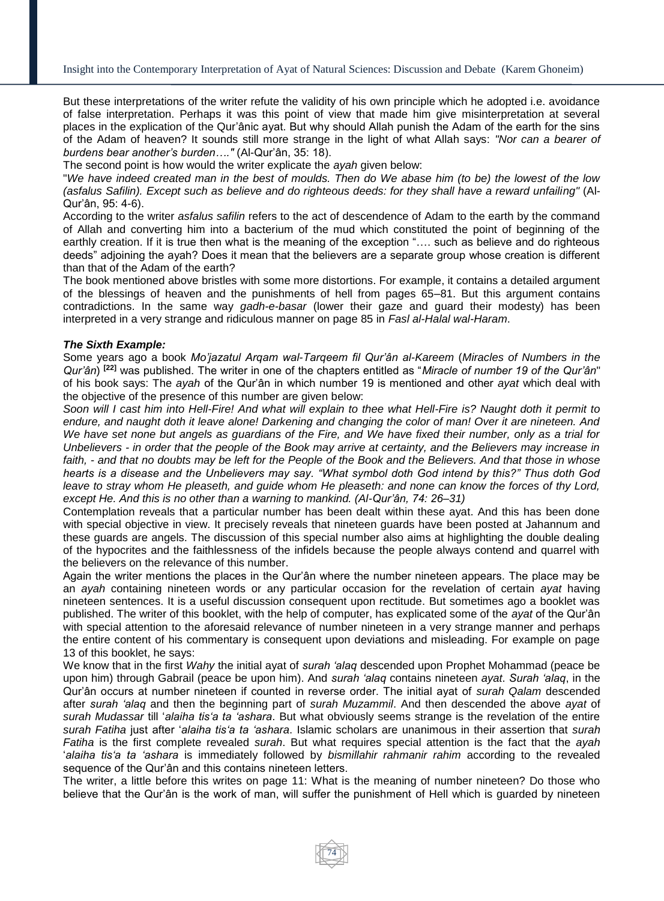But these interpretations of the writer refute the validity of his own principle which he adopted i.e. avoidance of false interpretation. Perhaps it was this point of view that made him give misinterpretation at several places in the explication of the Qur'ânic ayat. But why should Allah punish the Adam of the earth for the sins of the Adam of heaven? It sounds still more strange in the light of what Allah says: *"Nor can a bearer of burdens bear another's burden…."* (Al-Qur'ân, 35: 18).

The second point is how would the writer explicate the *ayah* given below:

"*We have indeed created man in the best of moulds. Then do We abase him (to be) the lowest of the low (asfalus Safilin). Except such as believe and do righteous deeds: for they shall have a reward unfailing"* (Al-Qur'ân, 95: 4-6).

According to the writer *asfalus safilin* refers to the act of descendence of Adam to the earth by the command of Allah and converting him into a bacterium of the mud which constituted the point of beginning of the earthly creation. If it is true then what is the meaning of the exception "…. such as believe and do righteous deeds" adjoining the ayah? Does it mean that the believers are a separate group whose creation is different than that of the Adam of the earth?

The book mentioned above bristles with some more distortions. For example, it contains a detailed argument of the blessings of heaven and the punishments of hell from pages 65–81. But this argument contains contradictions. In the same way *gadh-e-basar* (lower their gaze and guard their modesty) has been interpreted in a very strange and ridiculous manner on page 85 in *Fasl al-Halal wal-Haram*.

## *The Sixth Example:*

Some years ago a book *Mo'jazatul Arqam wal-Tarqeem fil Qur'ân al-Kareem* (*Miracles of Numbers in the Qur'ân*) **[22]** was published. The writer in one of the chapters entitled as "*Miracle of number 19 of the Qur'ân*" of his book says: The *ayah* of the Qur'ân in which number 19 is mentioned and other *ayat* which deal with the objective of the presence of this number are given below:

*Soon will I cast him into Hell-Fire! And what will explain to thee what Hell-Fire is? Naught doth it permit to endure, and naught doth it leave alone! Darkening and changing the color of man! Over it are nineteen. And We have set none but angels as guardians of the Fire, and We have fixed their number, only as a trial for Unbelievers - in order that the people of the Book may arrive at certainty, and the Believers may increase in faith, - and that no doubts may be left for the People of the Book and the Believers. And that those in whose hearts is a disease and the Unbelievers may say. "What symbol doth God intend by this?" Thus doth God leave to stray whom He pleaseth, and guide whom He pleaseth: and none can know the forces of thy Lord, except He. And this is no other than a warning to mankind. (Al-Qur'ân, 74: 26–31)* 

Contemplation reveals that a particular number has been dealt within these ayat. And this has been done with special objective in view. It precisely reveals that nineteen guards have been posted at Jahannum and these guards are angels. The discussion of this special number also aims at highlighting the double dealing of the hypocrites and the faithlessness of the infidels because the people always contend and quarrel with the believers on the relevance of this number.

Again the writer mentions the places in the Qur'ân where the number nineteen appears. The place may be an *ayah* containing nineteen words or any particular occasion for the revelation of certain *ayat* having nineteen sentences. It is a useful discussion consequent upon rectitude. But sometimes ago a booklet was published. The writer of this booklet, with the help of computer, has explicated some of the *ayat* of the Qur'ân with special attention to the aforesaid relevance of number nineteen in a very strange manner and perhaps the entire content of his commentary is consequent upon deviations and misleading. For example on page 13 of this booklet, he says:

We know that in the first *Wahy* the initial ayat of *surah 'alaq* descended upon Prophet Mohammad (peace be upon him) through Gabrail (peace be upon him). And *surah 'alaq* contains nineteen *ayat*. *Surah 'alaq*, in the Qur'ân occurs at number nineteen if counted in reverse order. The initial ayat of *surah Qalam* descended after *surah 'alaq* and then the beginning part of *surah Muzammil*. And then descended the above *ayat* of *surah Mudassar* till '*alaiha tis'a ta 'ashara*. But what obviously seems strange is the revelation of the entire *surah Fatiha* just after '*alaiha tis'a ta 'ashara*. Islamic scholars are unanimous in their assertion that *surah Fatiha* is the first complete revealed *surah*. But what requires special attention is the fact that the *ayah* '*alaiha tis'a ta 'ashara* is immediately followed by *bismillahir rahmanir rahim* according to the revealed sequence of the Qur'ân and this contains nineteen letters.

The writer, a little before this writes on page 11: What is the meaning of number nineteen? Do those who believe that the Qur'ân is the work of man, will suffer the punishment of Hell which is guarded by nineteen

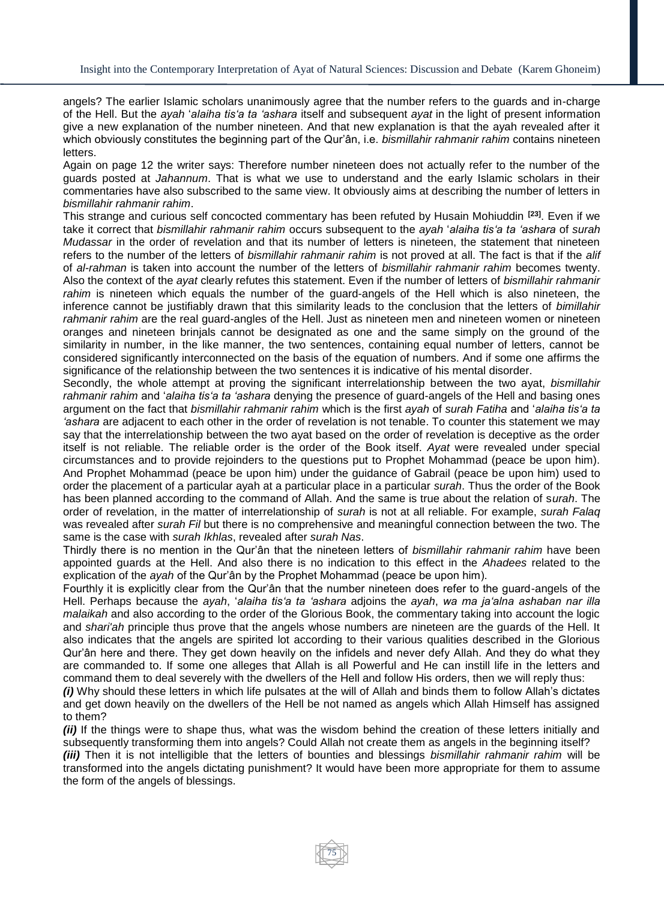angels? The earlier Islamic scholars unanimously agree that the number refers to the guards and in-charge of the Hell. But the *ayah* '*alaiha tis'a ta 'ashara* itself and subsequent *ayat* in the light of present information give a new explanation of the number nineteen. And that new explanation is that the ayah revealed after it which obviously constitutes the beginning part of the Qur'ân, i.e. *bismillahir rahmanir rahim* contains nineteen letters.

Again on page 12 the writer says: Therefore number nineteen does not actually refer to the number of the guards posted at *Jahannum*. That is what we use to understand and the early Islamic scholars in their commentaries have also subscribed to the same view. It obviously aims at describing the number of letters in *bismillahir rahmanir rahim*.

This strange and curious self concocted commentary has been refuted by Husain Mohiuddin **[23]**. Even if we take it correct that *bismillahir rahmanir rahim* occurs subsequent to the *ayah* '*alaiha tis'a ta 'ashara* of *surah Mudassar* in the order of revelation and that its number of letters is nineteen, the statement that nineteen refers to the number of the letters of *bismillahir rahmanir rahim* is not proved at all. The fact is that if the *alif* of *al-rahman* is taken into account the number of the letters of *bismillahir rahmanir rahim* becomes twenty. Also the context of the *ayat* clearly refutes this statement. Even if the number of letters of *bismillahir rahmanir rahim* is nineteen which equals the number of the guard-angels of the Hell which is also nineteen, the inference cannot be justifiably drawn that this similarity leads to the conclusion that the letters of *bimillahir rahmanir rahim* are the real guard-angles of the Hell. Just as nineteen men and nineteen women or nineteen oranges and nineteen brinjals cannot be designated as one and the same simply on the ground of the similarity in number, in the like manner, the two sentences, containing equal number of letters, cannot be considered significantly interconnected on the basis of the equation of numbers. And if some one affirms the significance of the relationship between the two sentences it is indicative of his mental disorder.

Secondly, the whole attempt at proving the significant interrelationship between the two ayat, *bismillahir rahmanir rahim* and '*alaiha tis'a ta 'ashara* denying the presence of guard-angels of the Hell and basing ones argument on the fact that *bismillahir rahmanir rahim* which is the first *ayah* of *surah Fatiha* and '*alaiha tis'a ta 'ashara* are adjacent to each other in the order of revelation is not tenable. To counter this statement we may say that the interrelationship between the two ayat based on the order of revelation is deceptive as the order itself is not reliable. The reliable order is the order of the Book itself. *Ayat* were revealed under special circumstances and to provide rejoinders to the questions put to Prophet Mohammad (peace be upon him). And Prophet Mohammad (peace be upon him) under the guidance of Gabrail (peace be upon him) used to order the placement of a particular ayah at a particular place in a particular *surah*. Thus the order of the Book has been planned according to the command of Allah. And the same is true about the relation of s*urah*. The order of revelation, in the matter of interrelationship of *surah* is not at all reliable. For example, *surah Falaq* was revealed after *surah Fil* but there is no comprehensive and meaningful connection between the two. The same is the case with *surah Ikhlas*, revealed after *surah Nas*.

Thirdly there is no mention in the Qur'ân that the nineteen letters of *bismillahir rahmanir rahim* have been appointed guards at the Hell. And also there is no indication to this effect in the *Ahadees* related to the explication of the *ayah* of the Qur'ân by the Prophet Mohammad (peace be upon him).

Fourthly it is explicitly clear from the Qur'ân that the number nineteen does refer to the guard-angels of the Hell. Perhaps because the *ayah*, '*alaiha tis'a ta 'ashara* adjoins the *ayah*, *wa ma ja'alna ashaban nar illa malaikah* and also according to the order of the Glorious Book, the commentary taking into account the logic and *shari'ah* principle thus prove that the angels whose numbers are nineteen are the guards of the Hell. It also indicates that the angels are spirited lot according to their various qualities described in the Glorious Qur'ân here and there. They get down heavily on the infidels and never defy Allah. And they do what they are commanded to. If some one alleges that Allah is all Powerful and He can instill life in the letters and command them to deal severely with the dwellers of the Hell and follow His orders, then we will reply thus:

*(i)* Why should these letters in which life pulsates at the will of Allah and binds them to follow Allah's dictates and get down heavily on the dwellers of the Hell be not named as angels which Allah Himself has assigned to them?

*(ii)* If the things were to shape thus, what was the wisdom behind the creation of these letters initially and subsequently transforming them into angels? Could Allah not create them as angels in the beginning itself?

*(iii)* Then it is not intelligible that the letters of bounties and blessings *bismillahir rahmanir rahim* will be transformed into the angels dictating punishment? It would have been more appropriate for them to assume the form of the angels of blessings.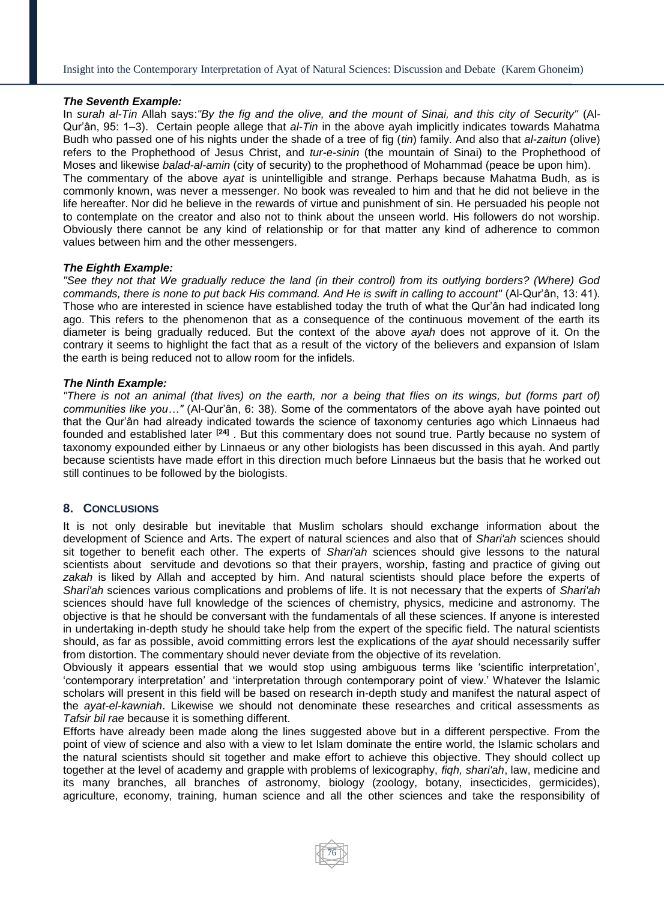## *The Seventh Example:*

In *surah al-Tin* Allah says:*"By the fig and the olive, and the mount of Sinai, and this city of Security"* (Al-Qur'ân, 95: 1–3). Certain people allege that *al-Tin* in the above ayah implicitly indicates towards Mahatma Budh who passed one of his nights under the shade of a tree of fig (*tin*) family. And also that *al-zaitun* (olive) refers to the Prophethood of Jesus Christ, and *tur-e-sinin* (the mountain of Sinai) to the Prophethood of Moses and likewise *balad-al-amin* (city of security) to the prophethood of Mohammad (peace be upon him). The commentary of the above *ayat* is unintelligible and strange. Perhaps because Mahatma Budh, as is commonly known, was never a messenger. No book was revealed to him and that he did not believe in the life hereafter. Nor did he believe in the rewards of virtue and punishment of sin. He persuaded his people not to contemplate on the creator and also not to think about the unseen world. His followers do not worship. Obviously there cannot be any kind of relationship or for that matter any kind of adherence to common values between him and the other messengers.

### *The Eighth Example:*

*"See they not that We gradually reduce the land (in their control) from its outlying borders? (Where) God commands, there is none to put back His command. And He is swift in calling to account"* (Al-Qur'ân, 13: 41). Those who are interested in science have established today the truth of what the Qur'ân had indicated long ago. This refers to the phenomenon that as a consequence of the continuous movement of the earth its diameter is being gradually reduced. But the context of the above *ayah* does not approve of it. On the contrary it seems to highlight the fact that as a result of the victory of the believers and expansion of Islam the earth is being reduced not to allow room for the infidels.

## *The Ninth Example:*

*"There is not an animal (that lives) on the earth, nor a being that flies on its wings, but (forms part of) communities like you…"* (Al-Qur'ân, 6: 38). Some of the commentators of the above ayah have pointed out that the Qur'ân had already indicated towards the science of taxonomy centuries ago which Linnaeus had founded and established later **[24]** . But this commentary does not sound true. Partly because no system of taxonomy expounded either by Linnaeus or any other biologists has been discussed in this ayah. And partly because scientists have made effort in this direction much before Linnaeus but the basis that he worked out still continues to be followed by the biologists.

## **8. CONCLUSIONS**

It is not only desirable but inevitable that Muslim scholars should exchange information about the development of Science and Arts. The expert of natural sciences and also that of *Shari'ah* sciences should sit together to benefit each other. The experts of *Shari'ah* sciences should give lessons to the natural scientists about servitude and devotions so that their prayers, worship, fasting and practice of giving out *zakah* is liked by Allah and accepted by him. And natural scientists should place before the experts of *Shari'ah* sciences various complications and problems of life. It is not necessary that the experts of *Shari'ah* sciences should have full knowledge of the sciences of chemistry, physics, medicine and astronomy. The objective is that he should be conversant with the fundamentals of all these sciences. If anyone is interested in undertaking in-depth study he should take help from the expert of the specific field. The natural scientists should, as far as possible, avoid committing errors lest the explications of the *ayat* should necessarily suffer from distortion. The commentary should never deviate from the objective of its revelation.

Obviously it appears essential that we would stop using ambiguous terms like 'scientific interpretation', 'contemporary interpretation' and 'interpretation through contemporary point of view.' Whatever the Islamic scholars will present in this field will be based on research in-depth study and manifest the natural aspect of the *ayat-el-kawniah*. Likewise we should not denominate these researches and critical assessments as *Tafsir bil rae* because it is something different.

Efforts have already been made along the lines suggested above but in a different perspective. From the point of view of science and also with a view to let Islam dominate the entire world, the Islamic scholars and the natural scientists should sit together and make effort to achieve this objective. They should collect up together at the level of academy and grapple with problems of lexicography, *fiqh, shari'ah*, law, medicine and its many branches, all branches of astronomy, biology (zoology, botany, insecticides, germicides), agriculture, economy, training, human science and all the other sciences and take the responsibility of